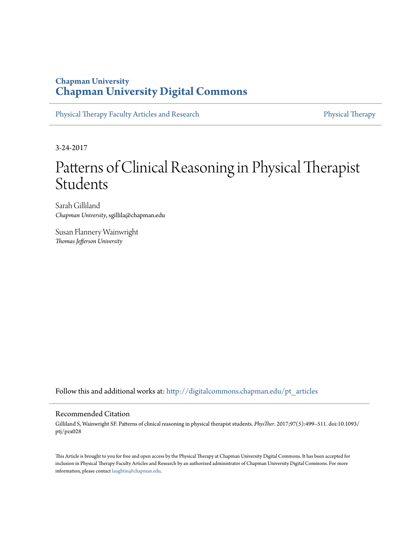## **Chapman University [Chapman University Digital Commons](http://digitalcommons.chapman.edu?utm_source=digitalcommons.chapman.edu%2Fpt_articles%2F59&utm_medium=PDF&utm_campaign=PDFCoverPages)**

[Physical Therapy Faculty Articles and Research](http://digitalcommons.chapman.edu/pt_articles?utm_source=digitalcommons.chapman.edu%2Fpt_articles%2F59&utm_medium=PDF&utm_campaign=PDFCoverPages) [Physical Therapy](http://digitalcommons.chapman.edu/physicaltherapy?utm_source=digitalcommons.chapman.edu%2Fpt_articles%2F59&utm_medium=PDF&utm_campaign=PDFCoverPages)

3-24-2017

# Patterns of Clinical Reasoning in Physical Therapist Students

Sarah Gilliland *Chapman University*, sgillila@chapman.edu

Susan Flannery Wainwright *Thomas Jefferson University*

Follow this and additional works at: [http://digitalcommons.chapman.edu/pt\\_articles](http://digitalcommons.chapman.edu/pt_articles?utm_source=digitalcommons.chapman.edu%2Fpt_articles%2F59&utm_medium=PDF&utm_campaign=PDFCoverPages)

#### Recommended Citation

Gilliland S, Wainwright SF. Patterns of clinical reasoning in physical therapist students. *PhysTher*. 2017;97(5):499–511. doi:10.1093/ ptj/pzx028

This Article is brought to you for free and open access by the Physical Therapy at Chapman University Digital Commons. It has been accepted for inclusion in Physical Therapy Faculty Articles and Research by an authorized administrator of Chapman University Digital Commons. For more information, please contact [laughtin@chapman.edu](mailto:laughtin@chapman.edu).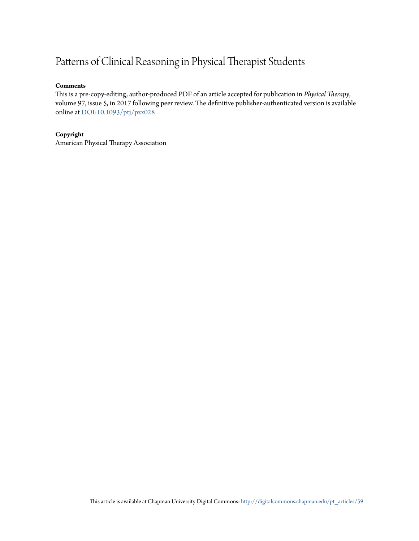## Patterns of Clinical Reasoning in Physical Therapist Students

#### **Comments**

This is a pre-copy-editing, author-produced PDF of an article accepted for publication in *Physical Therapy*, volume 97, issue 5, in 2017 following peer review. The definitive publisher-authenticated version is available online at [DOI:10.1093/ptj/pzx028](http://dx.doi.org/10.1093/ptj/pzx028)

#### **Copyright**

American Physical Therapy Association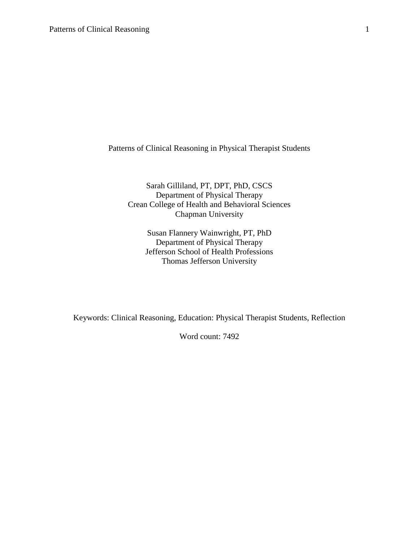Patterns of Clinical Reasoning in Physical Therapist Students

Sarah Gilliland, PT, DPT, PhD, CSCS Department of Physical Therapy Crean College of Health and Behavioral Sciences Chapman University

> Susan Flannery Wainwright, PT, PhD Department of Physical Therapy Jefferson School of Health Professions Thomas Jefferson University

Keywords: Clinical Reasoning, Education: Physical Therapist Students, Reflection

Word count: 7492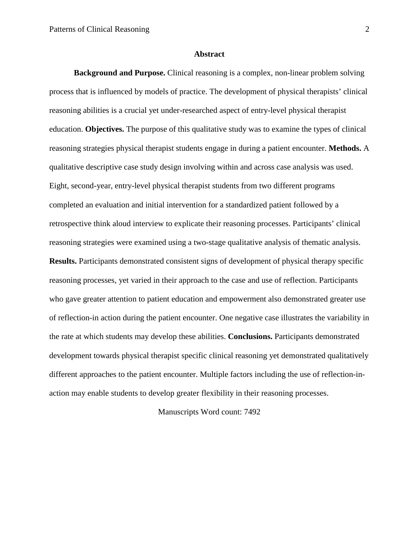#### **Abstract**

**Background and Purpose.** Clinical reasoning is a complex, non-linear problem solving process that is influenced by models of practice. The development of physical therapists' clinical reasoning abilities is a crucial yet under-researched aspect of entry-level physical therapist education. **Objectives.** The purpose of this qualitative study was to examine the types of clinical reasoning strategies physical therapist students engage in during a patient encounter. **Methods.** A qualitative descriptive case study design involving within and across case analysis was used. Eight, second-year, entry-level physical therapist students from two different programs completed an evaluation and initial intervention for a standardized patient followed by a retrospective think aloud interview to explicate their reasoning processes. Participants' clinical reasoning strategies were examined using a two-stage qualitative analysis of thematic analysis. **Results.** Participants demonstrated consistent signs of development of physical therapy specific reasoning processes, yet varied in their approach to the case and use of reflection. Participants who gave greater attention to patient education and empowerment also demonstrated greater use of reflection-in action during the patient encounter. One negative case illustrates the variability in the rate at which students may develop these abilities. **Conclusions.** Participants demonstrated development towards physical therapist specific clinical reasoning yet demonstrated qualitatively different approaches to the patient encounter. Multiple factors including the use of reflection-inaction may enable students to develop greater flexibility in their reasoning processes.

Manuscripts Word count: 7492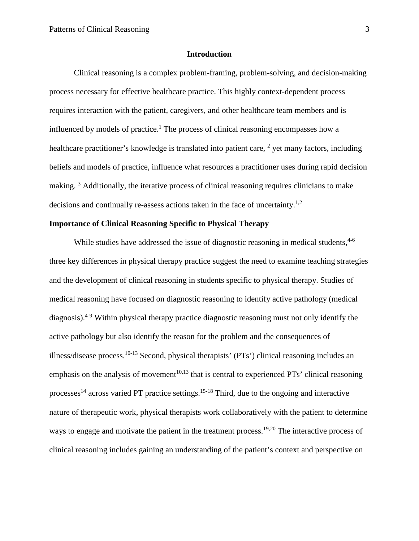#### **Introduction**

Clinical reasoning is a complex problem-framing, problem-solving, and decision-making process necessary for effective healthcare practice. This highly context-dependent process requires interaction with the patient, caregivers, and other healthcare team members and is influenced by models of practice.<sup>1</sup> The process of clinical reasoning encompasses how a healthcare practitioner's knowledge is translated into patient care,  $\frac{2}{3}$  yet many factors, including beliefs and models of practice, influence what resources a practitioner uses during rapid decision making.<sup>3</sup> Additionally, the iterative process of clinical reasoning requires clinicians to make decisions and continually re-assess actions taken in the face of uncertainty.<sup>1,2</sup>

## **Importance of Clinical Reasoning Specific to Physical Therapy**

While studies have addressed the issue of diagnostic reasoning in medical students, 4-6 three key differences in physical therapy practice suggest the need to examine teaching strategies and the development of clinical reasoning in students specific to physical therapy. Studies of medical reasoning have focused on diagnostic reasoning to identify active pathology (medical diagnosis). 4-9 Within physical therapy practice diagnostic reasoning must not only identify the active pathology but also identify the reason for the problem and the consequences of illness/disease process.<sup>10-13</sup> Second, physical therapists' (PTs') clinical reasoning includes an emphasis on the analysis of movement<sup>10,13</sup> that is central to experienced PTs' clinical reasoning processes<sup>14</sup> across varied PT practice settings.<sup>15-18</sup> Third, due to the ongoing and interactive nature of therapeutic work, physical therapists work collaboratively with the patient to determine ways to engage and motivate the patient in the treatment process.<sup>19,20</sup> The interactive process of clinical reasoning includes gaining an understanding of the patient's context and perspective on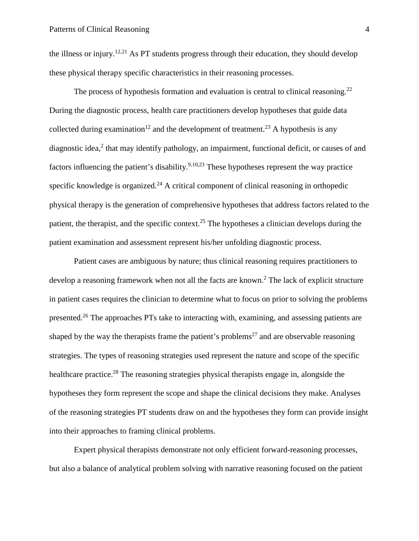the illness or injury.<sup>12,21</sup> As PT students progress through their education, they should develop these physical therapy specific characteristics in their reasoning processes.

The process of hypothesis formation and evaluation is central to clinical reasoning.<sup>22</sup> During the diagnostic process, health care practitioners develop hypotheses that guide data collected during examination<sup>12</sup> and the development of treatment.<sup>23</sup> A hypothesis is any  $diagnostic idea<sup>2</sup> that may identify pathology, an impairment, functional deficit, or causes of and$ factors influencing the patient's disability.<sup>9,10,23</sup> These hypotheses represent the way practice specific knowledge is organized.<sup>24</sup> A critical component of clinical reasoning in orthopedic physical therapy is the generation of comprehensive hypotheses that address factors related to the patient, the therapist, and the specific context.<sup>25</sup> The hypotheses a clinician develops during the patient examination and assessment represent his/her unfolding diagnostic process.

Patient cases are ambiguous by nature; thus clinical reasoning requires practitioners to develop a reasoning framework when not all the facts are known. <sup>2</sup> The lack of explicit structure in patient cases requires the clinician to determine what to focus on prior to solving the problems presented.<sup>26</sup> The approaches PTs take to interacting with, examining, and assessing patients are shaped by the way the therapists frame the patient's problems<sup>27</sup> and are observable reasoning strategies. The types of reasoning strategies used represent the nature and scope of the specific healthcare practice.<sup>28</sup> The reasoning strategies physical therapists engage in, alongside the hypotheses they form represent the scope and shape the clinical decisions they make. Analyses of the reasoning strategies PT students draw on and the hypotheses they form can provide insight into their approaches to framing clinical problems.

Expert physical therapists demonstrate not only efficient forward-reasoning processes, but also a balance of analytical problem solving with narrative reasoning focused on the patient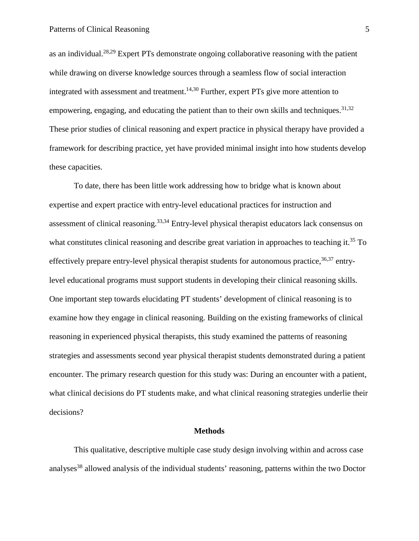as an individual.<sup>28,29</sup> Expert PTs demonstrate ongoing collaborative reasoning with the patient while drawing on diverse knowledge sources through a seamless flow of social interaction integrated with assessment and treatment.<sup>14,30</sup> Further, expert PTs give more attention to empowering, engaging, and educating the patient than to their own skills and techniques.<sup>31,32</sup> These prior studies of clinical reasoning and expert practice in physical therapy have provided a framework for describing practice, yet have provided minimal insight into how students develop these capacities.

To date, there has been little work addressing how to bridge what is known about expertise and expert practice with entry-level educational practices for instruction and assessment of clinical reasoning.<sup>33,34</sup> Entry-level physical therapist educators lack consensus on what constitutes clinical reasoning and describe great variation in approaches to teaching it.<sup>35</sup> To effectively prepare entry-level physical therapist students for autonomous practice,  $36,37$  entrylevel educational programs must support students in developing their clinical reasoning skills. One important step towards elucidating PT students' development of clinical reasoning is to examine how they engage in clinical reasoning. Building on the existing frameworks of clinical reasoning in experienced physical therapists, this study examined the patterns of reasoning strategies and assessments second year physical therapist students demonstrated during a patient encounter. The primary research question for this study was: During an encounter with a patient, what clinical decisions do PT students make, and what clinical reasoning strategies underlie their decisions?

#### **Methods**

This qualitative, descriptive multiple case study design involving within and across case analyses<sup>38</sup> allowed analysis of the individual students' reasoning, patterns within the two Doctor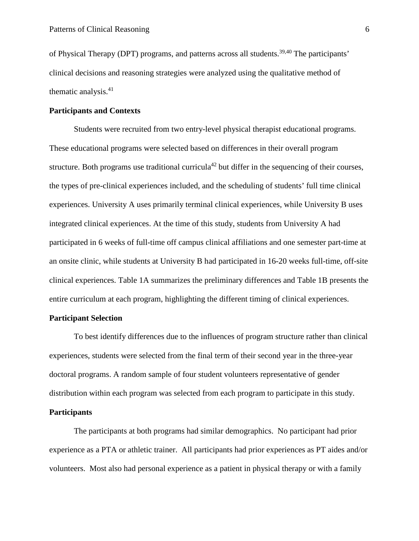of Physical Therapy (DPT) programs, and patterns across all students.<sup>39,40</sup> The participants' clinical decisions and reasoning strategies were analyzed using the qualitative method of thematic analysis. 41

#### **Participants and Contexts**

Students were recruited from two entry-level physical therapist educational programs. These educational programs were selected based on differences in their overall program structure. Both programs use traditional curricula<sup>42</sup> but differ in the sequencing of their courses, the types of pre-clinical experiences included, and the scheduling of students' full time clinical experiences. University A uses primarily terminal clinical experiences, while University B uses integrated clinical experiences. At the time of this study, students from University A had participated in 6 weeks of full-time off campus clinical affiliations and one semester part-time at an onsite clinic, while students at University B had participated in 16-20 weeks full-time, off-site clinical experiences. Table 1A summarizes the preliminary differences and Table 1B presents the entire curriculum at each program, highlighting the different timing of clinical experiences.

#### **Participant Selection**

To best identify differences due to the influences of program structure rather than clinical experiences, students were selected from the final term of their second year in the three-year doctoral programs. A random sample of four student volunteers representative of gender distribution within each program was selected from each program to participate in this study.

#### **Participants**

The participants at both programs had similar demographics. No participant had prior experience as a PTA or athletic trainer. All participants had prior experiences as PT aides and/or volunteers. Most also had personal experience as a patient in physical therapy or with a family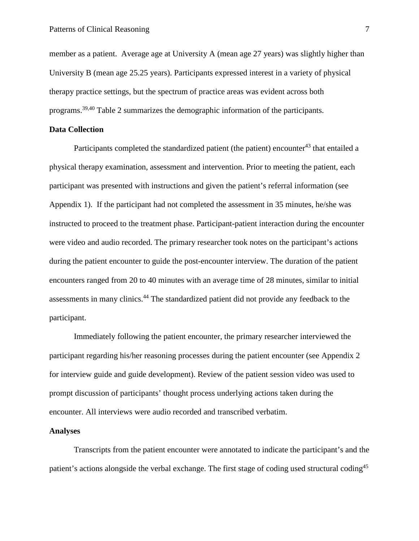member as a patient. Average age at University A (mean age 27 years) was slightly higher than University B (mean age 25.25 years). Participants expressed interest in a variety of physical therapy practice settings, but the spectrum of practice areas was evident across both programs.39,40 Table 2 summarizes the demographic information of the participants.

#### **Data Collection**

Participants completed the standardized patient (the patient) encounter<sup>43</sup> that entailed a physical therapy examination, assessment and intervention. Prior to meeting the patient, each participant was presented with instructions and given the patient's referral information (see Appendix 1). If the participant had not completed the assessment in 35 minutes, he/she was instructed to proceed to the treatment phase. Participant-patient interaction during the encounter were video and audio recorded. The primary researcher took notes on the participant's actions during the patient encounter to guide the post-encounter interview. The duration of the patient encounters ranged from 20 to 40 minutes with an average time of 28 minutes, similar to initial assessments in many clinics.<sup>44</sup> The standardized patient did not provide any feedback to the participant.

Immediately following the patient encounter, the primary researcher interviewed the participant regarding his/her reasoning processes during the patient encounter (see Appendix 2 for interview guide and guide development). Review of the patient session video was used to prompt discussion of participants' thought process underlying actions taken during the encounter. All interviews were audio recorded and transcribed verbatim.

#### **Analyses**

Transcripts from the patient encounter were annotated to indicate the participant's and the patient's actions alongside the verbal exchange. The first stage of coding used structural coding<sup>45</sup>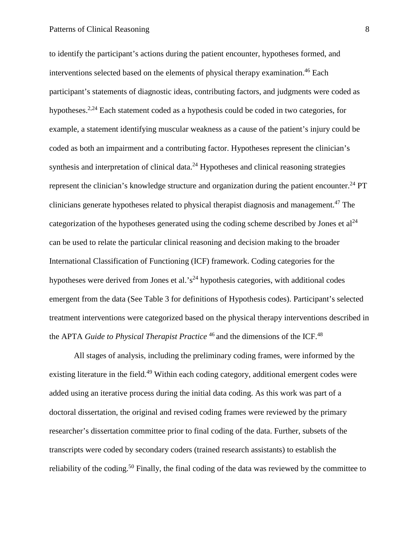#### Patterns of Clinical Reasoning 8

to identify the participant's actions during the patient encounter, hypotheses formed, and interventions selected based on the elements of physical therapy examination. <sup>46</sup> Each participant's statements of diagnostic ideas, contributing factors, and judgments were coded as hypotheses.<sup>2,24</sup> Each statement coded as a hypothesis could be coded in two categories, for example, a statement identifying muscular weakness as a cause of the patient's injury could be coded as both an impairment and a contributing factor. Hypotheses represent the clinician's synthesis and interpretation of clinical data.<sup>24</sup> Hypotheses and clinical reasoning strategies represent the clinician's knowledge structure and organization during the patient encounter.<sup>24</sup> PT clinicians generate hypotheses related to physical therapist diagnosis and management.<sup>47</sup> The categorization of the hypotheses generated using the coding scheme described by Jones et al<sup>24</sup> can be used to relate the particular clinical reasoning and decision making to the broader International Classification of Functioning (ICF) framework. Coding categories for the hypotheses were derived from Jones et al.' $s^{24}$  hypothesis categories, with additional codes emergent from the data (See Table 3 for definitions of Hypothesis codes). Participant's selected treatment interventions were categorized based on the physical therapy interventions described in the APTA *Guide to Physical Therapist Practice* <sup>46</sup> and the dimensions of the ICF.<sup>48</sup>

All stages of analysis, including the preliminary coding frames, were informed by the existing literature in the field.<sup>49</sup> Within each coding category, additional emergent codes were added using an iterative process during the initial data coding. As this work was part of a doctoral dissertation, the original and revised coding frames were reviewed by the primary researcher's dissertation committee prior to final coding of the data. Further, subsets of the transcripts were coded by secondary coders (trained research assistants) to establish the reliability of the coding.<sup>50</sup> Finally, the final coding of the data was reviewed by the committee to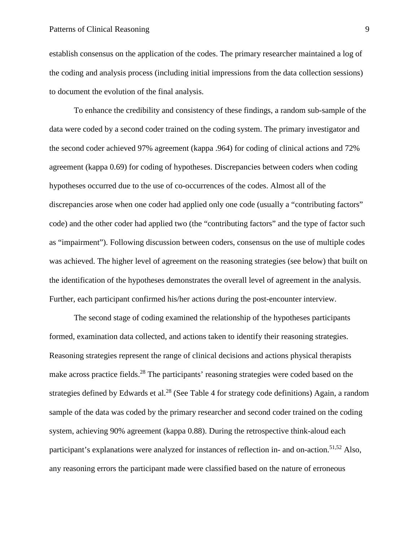establish consensus on the application of the codes. The primary researcher maintained a log of the coding and analysis process (including initial impressions from the data collection sessions) to document the evolution of the final analysis.

To enhance the credibility and consistency of these findings, a random sub-sample of the data were coded by a second coder trained on the coding system. The primary investigator and the second coder achieved 97% agreement (kappa .964) for coding of clinical actions and 72% agreement (kappa 0.69) for coding of hypotheses. Discrepancies between coders when coding hypotheses occurred due to the use of co-occurrences of the codes. Almost all of the discrepancies arose when one coder had applied only one code (usually a "contributing factors" code) and the other coder had applied two (the "contributing factors" and the type of factor such as "impairment"). Following discussion between coders, consensus on the use of multiple codes was achieved. The higher level of agreement on the reasoning strategies (see below) that built on the identification of the hypotheses demonstrates the overall level of agreement in the analysis. Further, each participant confirmed his/her actions during the post-encounter interview.

The second stage of coding examined the relationship of the hypotheses participants formed, examination data collected, and actions taken to identify their reasoning strategies. Reasoning strategies represent the range of clinical decisions and actions physical therapists make across practice fields.<sup>28</sup> The participants' reasoning strategies were coded based on the strategies defined by Edwards et al.<sup>28</sup> (See Table 4 for strategy code definitions) Again, a random sample of the data was coded by the primary researcher and second coder trained on the coding system, achieving 90% agreement (kappa 0.88). During the retrospective think-aloud each participant's explanations were analyzed for instances of reflection in- and on-action.<sup>51,52</sup> Also, any reasoning errors the participant made were classified based on the nature of erroneous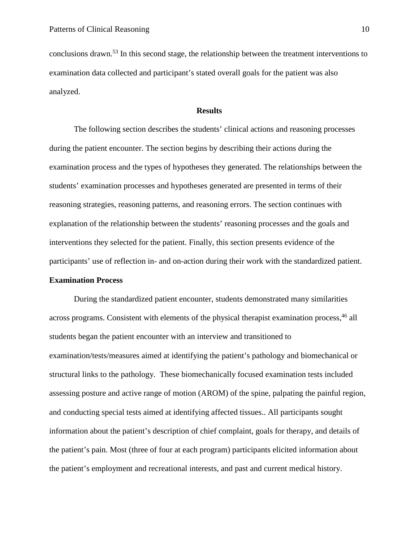conclusions drawn. <sup>53</sup> In this second stage, the relationship between the treatment interventions to examination data collected and participant's stated overall goals for the patient was also analyzed.

#### **Results**

The following section describes the students' clinical actions and reasoning processes during the patient encounter. The section begins by describing their actions during the examination process and the types of hypotheses they generated. The relationships between the students' examination processes and hypotheses generated are presented in terms of their reasoning strategies, reasoning patterns, and reasoning errors. The section continues with explanation of the relationship between the students' reasoning processes and the goals and interventions they selected for the patient. Finally, this section presents evidence of the participants' use of reflection in- and on-action during their work with the standardized patient.

## **Examination Process**

During the standardized patient encounter, students demonstrated many similarities across programs. Consistent with elements of the physical therapist examination process, 46 all students began the patient encounter with an interview and transitioned to examination/tests/measures aimed at identifying the patient's pathology and biomechanical or structural links to the pathology. These biomechanically focused examination tests included assessing posture and active range of motion (AROM) of the spine, palpating the painful region, and conducting special tests aimed at identifying affected tissues.. All participants sought information about the patient's description of chief complaint, goals for therapy, and details of the patient's pain. Most (three of four at each program) participants elicited information about the patient's employment and recreational interests, and past and current medical history.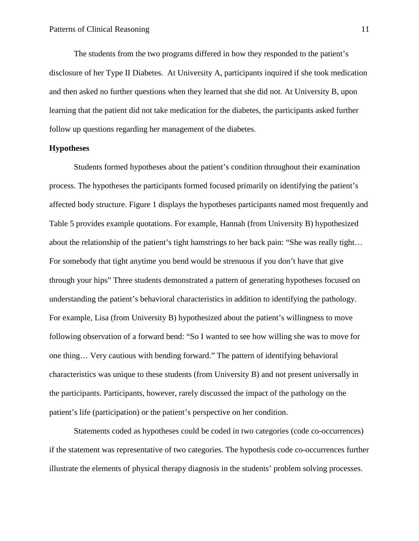The students from the two programs differed in how they responded to the patient's disclosure of her Type II Diabetes. At University A, participants inquired if she took medication and then asked no further questions when they learned that she did not. At University B, upon learning that the patient did not take medication for the diabetes, the participants asked further follow up questions regarding her management of the diabetes.

#### **Hypotheses**

Students formed hypotheses about the patient's condition throughout their examination process. The hypotheses the participants formed focused primarily on identifying the patient's affected body structure. Figure 1 displays the hypotheses participants named most frequently and Table 5 provides example quotations. For example, Hannah (from University B) hypothesized about the relationship of the patient's tight hamstrings to her back pain: "She was really tight… For somebody that tight anytime you bend would be strenuous if you don't have that give through your hips" Three students demonstrated a pattern of generating hypotheses focused on understanding the patient's behavioral characteristics in addition to identifying the pathology. For example, Lisa (from University B) hypothesized about the patient's willingness to move following observation of a forward bend: "So I wanted to see how willing she was to move for one thing… Very cautious with bending forward." The pattern of identifying behavioral characteristics was unique to these students (from University B) and not present universally in the participants. Participants, however, rarely discussed the impact of the pathology on the patient's life (participation) or the patient's perspective on her condition.

Statements coded as hypotheses could be coded in two categories (code co-occurrences) if the statement was representative of two categories. The hypothesis code co-occurrences further illustrate the elements of physical therapy diagnosis in the students' problem solving processes.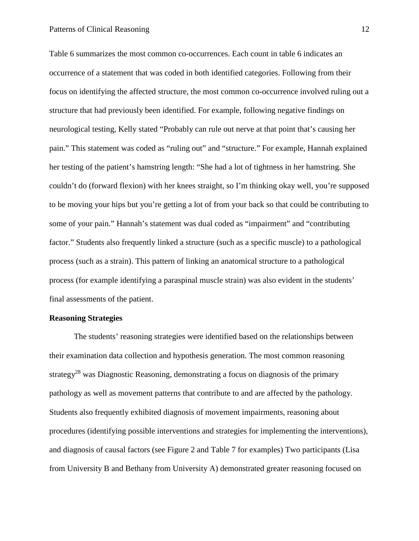Table 6 summarizes the most common co-occurrences. Each count in table 6 indicates an occurrence of a statement that was coded in both identified categories. Following from their focus on identifying the affected structure, the most common co-occurrence involved ruling out a structure that had previously been identified. For example, following negative findings on neurological testing, Kelly stated "Probably can rule out nerve at that point that's causing her pain." This statement was coded as "ruling out" and "structure." For example, Hannah explained her testing of the patient's hamstring length: "She had a lot of tightness in her hamstring. She couldn't do (forward flexion) with her knees straight, so I'm thinking okay well, you're supposed to be moving your hips but you're getting a lot of from your back so that could be contributing to some of your pain." Hannah's statement was dual coded as "impairment" and "contributing factor." Students also frequently linked a structure (such as a specific muscle) to a pathological process (such as a strain). This pattern of linking an anatomical structure to a pathological process (for example identifying a paraspinal muscle strain) was also evident in the students' final assessments of the patient.

#### **Reasoning Strategies**

The students' reasoning strategies were identified based on the relationships between their examination data collection and hypothesis generation. The most common reasoning strategy<sup>28</sup> was Diagnostic Reasoning, demonstrating a focus on diagnosis of the primary pathology as well as movement patterns that contribute to and are affected by the pathology. Students also frequently exhibited diagnosis of movement impairments, reasoning about procedures (identifying possible interventions and strategies for implementing the interventions), and diagnosis of causal factors (see Figure 2 and Table 7 for examples) Two participants (Lisa from University B and Bethany from University A) demonstrated greater reasoning focused on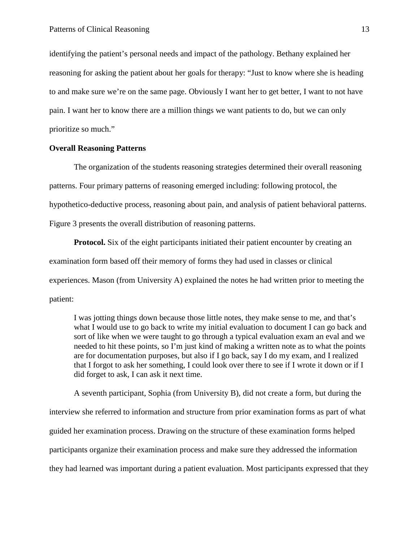identifying the patient's personal needs and impact of the pathology. Bethany explained her reasoning for asking the patient about her goals for therapy: "Just to know where she is heading to and make sure we're on the same page. Obviously I want her to get better, I want to not have pain. I want her to know there are a million things we want patients to do, but we can only prioritize so much."

#### **Overall Reasoning Patterns**

The organization of the students reasoning strategies determined their overall reasoning patterns. Four primary patterns of reasoning emerged including: following protocol, the hypothetico-deductive process, reasoning about pain, and analysis of patient behavioral patterns. Figure 3 presents the overall distribution of reasoning patterns.

**Protocol.** Six of the eight participants initiated their patient encounter by creating an examination form based off their memory of forms they had used in classes or clinical experiences. Mason (from University A) explained the notes he had written prior to meeting the patient:

I was jotting things down because those little notes, they make sense to me, and that's what I would use to go back to write my initial evaluation to document I can go back and sort of like when we were taught to go through a typical evaluation exam an eval and we needed to hit these points, so I'm just kind of making a written note as to what the points are for documentation purposes, but also if I go back, say I do my exam, and I realized that I forgot to ask her something, I could look over there to see if I wrote it down or if I did forget to ask, I can ask it next time.

A seventh participant, Sophia (from University B), did not create a form, but during the interview she referred to information and structure from prior examination forms as part of what guided her examination process. Drawing on the structure of these examination forms helped participants organize their examination process and make sure they addressed the information they had learned was important during a patient evaluation. Most participants expressed that they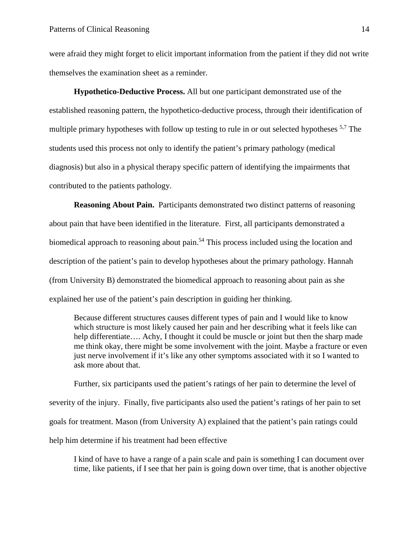were afraid they might forget to elicit important information from the patient if they did not write themselves the examination sheet as a reminder.

**Hypothetico-Deductive Process.** All but one participant demonstrated use of the established reasoning pattern, the hypothetico-deductive process, through their identification of multiple primary hypotheses with follow up testing to rule in or out selected hypotheses <sup>5,7</sup> The students used this process not only to identify the patient's primary pathology (medical diagnosis) but also in a physical therapy specific pattern of identifying the impairments that contributed to the patients pathology.

**Reasoning About Pain.** Participants demonstrated two distinct patterns of reasoning about pain that have been identified in the literature. First, all participants demonstrated a biomedical approach to reasoning about pain.<sup>54</sup> This process included using the location and description of the patient's pain to develop hypotheses about the primary pathology. Hannah (from University B) demonstrated the biomedical approach to reasoning about pain as she explained her use of the patient's pain description in guiding her thinking.

Because different structures causes different types of pain and I would like to know which structure is most likely caused her pain and her describing what it feels like can help differentiate.... Achy, I thought it could be muscle or joint but then the sharp made me think okay, there might be some involvement with the joint. Maybe a fracture or even just nerve involvement if it's like any other symptoms associated with it so I wanted to ask more about that.

Further, six participants used the patient's ratings of her pain to determine the level of severity of the injury. Finally, five participants also used the patient's ratings of her pain to set goals for treatment. Mason (from University A) explained that the patient's pain ratings could help him determine if his treatment had been effective

I kind of have to have a range of a pain scale and pain is something I can document over time, like patients, if I see that her pain is going down over time, that is another objective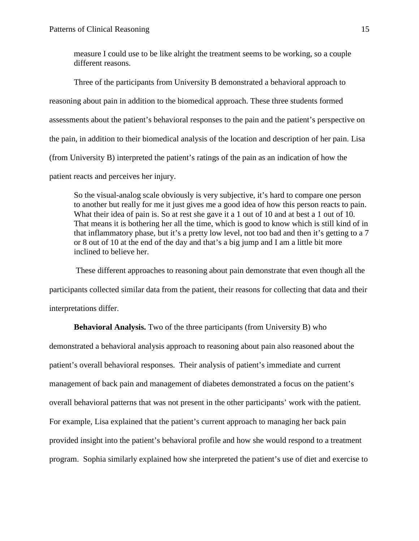measure I could use to be like alright the treatment seems to be working, so a couple different reasons.

Three of the participants from University B demonstrated a behavioral approach to reasoning about pain in addition to the biomedical approach. These three students formed assessments about the patient's behavioral responses to the pain and the patient's perspective on the pain, in addition to their biomedical analysis of the location and description of her pain. Lisa (from University B) interpreted the patient's ratings of the pain as an indication of how the patient reacts and perceives her injury.

So the visual-analog scale obviously is very subjective, it's hard to compare one person to another but really for me it just gives me a good idea of how this person reacts to pain. What their idea of pain is. So at rest she gave it a 1 out of 10 and at best a 1 out of 10. That means it is bothering her all the time, which is good to know which is still kind of in that inflammatory phase, but it's a pretty low level, not too bad and then it's getting to a 7 or 8 out of 10 at the end of the day and that's a big jump and I am a little bit more inclined to believe her.

These different approaches to reasoning about pain demonstrate that even though all the participants collected similar data from the patient, their reasons for collecting that data and their interpretations differ.

**Behavioral Analysis.** Two of the three participants (from University B) who demonstrated a behavioral analysis approach to reasoning about pain also reasoned about the patient's overall behavioral responses. Their analysis of patient's immediate and current management of back pain and management of diabetes demonstrated a focus on the patient's overall behavioral patterns that was not present in the other participants' work with the patient. For example, Lisa explained that the patient's current approach to managing her back pain provided insight into the patient's behavioral profile and how she would respond to a treatment program. Sophia similarly explained how she interpreted the patient's use of diet and exercise to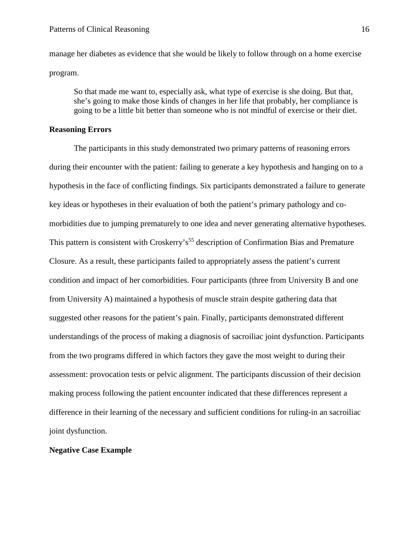manage her diabetes as evidence that she would be likely to follow through on a home exercise program.

So that made me want to, especially ask, what type of exercise is she doing. But that, she's going to make those kinds of changes in her life that probably, her compliance is going to be a little bit better than someone who is not mindful of exercise or their diet.

#### **Reasoning Errors**

The participants in this study demonstrated two primary patterns of reasoning errors during their encounter with the patient: failing to generate a key hypothesis and hanging on to a hypothesis in the face of conflicting findings. Six participants demonstrated a failure to generate key ideas or hypotheses in their evaluation of both the patient's primary pathology and comorbidities due to jumping prematurely to one idea and never generating alternative hypotheses. This pattern is consistent with Croskerry's<sup>55</sup> description of Confirmation Bias and Premature Closure. As a result, these participants failed to appropriately assess the patient's current condition and impact of her comorbidities. Four participants (three from University B and one from University A) maintained a hypothesis of muscle strain despite gathering data that suggested other reasons for the patient's pain. Finally, participants demonstrated different understandings of the process of making a diagnosis of sacroiliac joint dysfunction. Participants from the two programs differed in which factors they gave the most weight to during their assessment: provocation tests or pelvic alignment. The participants discussion of their decision making process following the patient encounter indicated that these differences represent a difference in their learning of the necessary and sufficient conditions for ruling-in an sacroiliac joint dysfunction.

#### **Negative Case Example**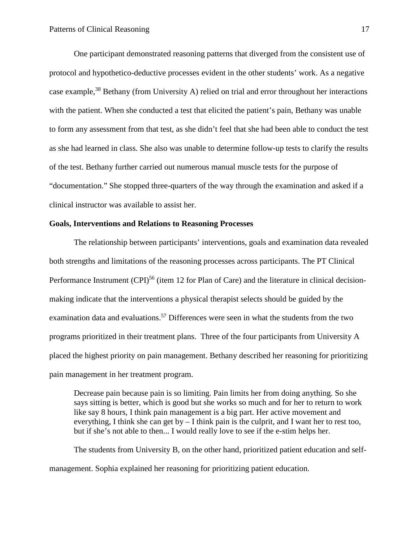One participant demonstrated reasoning patterns that diverged from the consistent use of protocol and hypothetico-deductive processes evident in the other students' work. As a negative case example,<sup>38</sup> Bethany (from University A) relied on trial and error throughout her interactions with the patient. When she conducted a test that elicited the patient's pain, Bethany was unable to form any assessment from that test, as she didn't feel that she had been able to conduct the test as she had learned in class. She also was unable to determine follow-up tests to clarify the results of the test. Bethany further carried out numerous manual muscle tests for the purpose of "documentation." She stopped three-quarters of the way through the examination and asked if a clinical instructor was available to assist her.

#### **Goals, Interventions and Relations to Reasoning Processes**

The relationship between participants' interventions, goals and examination data revealed both strengths and limitations of the reasoning processes across participants. The PT Clinical Performance Instrument (CPI)<sup>56</sup> (item 12 for Plan of Care) and the literature in clinical decisionmaking indicate that the interventions a physical therapist selects should be guided by the examination data and evaluations.<sup>57</sup> Differences were seen in what the students from the two programs prioritized in their treatment plans. Three of the four participants from University A placed the highest priority on pain management. Bethany described her reasoning for prioritizing pain management in her treatment program.

Decrease pain because pain is so limiting. Pain limits her from doing anything. So she says sitting is better, which is good but she works so much and for her to return to work like say 8 hours, I think pain management is a big part. Her active movement and everything, I think she can get by – I think pain is the culprit, and I want her to rest too, but if she's not able to then... I would really love to see if the e-stim helps her.

The students from University B, on the other hand, prioritized patient education and selfmanagement. Sophia explained her reasoning for prioritizing patient education.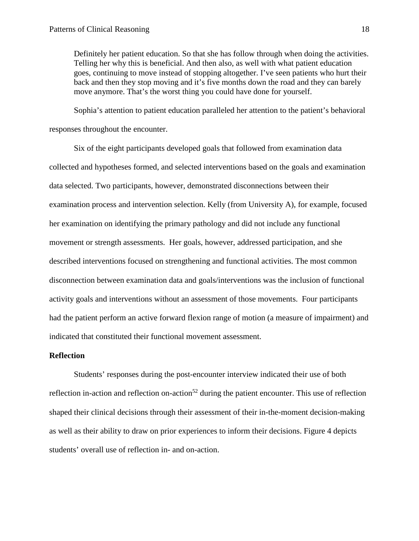Definitely her patient education. So that she has follow through when doing the activities. Telling her why this is beneficial. And then also, as well with what patient education goes, continuing to move instead of stopping altogether. I've seen patients who hurt their back and then they stop moving and it's five months down the road and they can barely move anymore. That's the worst thing you could have done for yourself.

Sophia's attention to patient education paralleled her attention to the patient's behavioral responses throughout the encounter.

Six of the eight participants developed goals that followed from examination data collected and hypotheses formed, and selected interventions based on the goals and examination data selected. Two participants, however, demonstrated disconnections between their examination process and intervention selection. Kelly (from University A), for example, focused her examination on identifying the primary pathology and did not include any functional movement or strength assessments. Her goals, however, addressed participation, and she described interventions focused on strengthening and functional activities. The most common disconnection between examination data and goals/interventions was the inclusion of functional activity goals and interventions without an assessment of those movements. Four participants had the patient perform an active forward flexion range of motion (a measure of impairment) and indicated that constituted their functional movement assessment.

#### **Reflection**

Students' responses during the post-encounter interview indicated their use of both reflection in-action and reflection on-action<sup>52</sup> during the patient encounter. This use of reflection shaped their clinical decisions through their assessment of their in-the-moment decision-making as well as their ability to draw on prior experiences to inform their decisions. Figure 4 depicts students' overall use of reflection in- and on-action.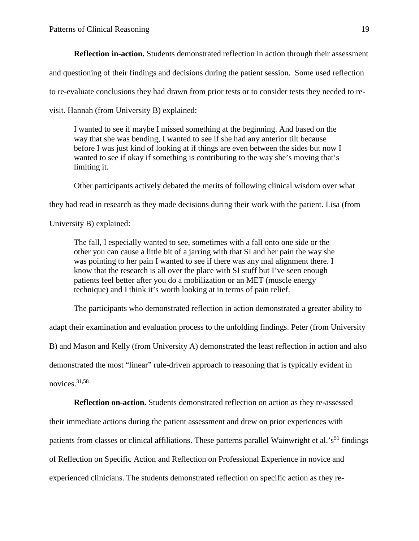**Reflection in-action.** Students demonstrated reflection in action through their assessment

and questioning of their findings and decisions during the patient session. Some used reflection

to re-evaluate conclusions they had drawn from prior tests or to consider tests they needed to re-

visit. Hannah (from University B) explained:

I wanted to see if maybe I missed something at the beginning. And based on the way that she was bending, I wanted to see if she had any anterior tilt because before I was just kind of looking at if things are even between the sides but now I wanted to see if okay if something is contributing to the way she's moving that's limiting it.

Other participants actively debated the merits of following clinical wisdom over what

they had read in research as they made decisions during their work with the patient. Lisa (from

University B) explained:

The fall, I especially wanted to see, sometimes with a fall onto one side or the other you can cause a little bit of a jarring with that SI and her pain the way she was pointing to her pain I wanted to see if there was any mal alignment there. I know that the research is all over the place with SI stuff but I've seen enough patients feel better after you do a mobilization or an MET (muscle energy technique) and I think it's worth looking at in terms of pain relief.

The participants who demonstrated reflection in action demonstrated a greater ability to

adapt their examination and evaluation process to the unfolding findings. Peter (from University

B) and Mason and Kelly (from University A) demonstrated the least reflection in action and also

demonstrated the most "linear" rule-driven approach to reasoning that is typically evident in

novices. 31,58

**Reflection on-action.** Students demonstrated reflection on action as they re-assessed

their immediate actions during the patient assessment and drew on prior experiences with

patients from classes or clinical affiliations. These patterns parallel Wainwright et al.'s<sup>51</sup> findings

of Reflection on Specific Action and Reflection on Professional Experience in novice and

experienced clinicians. The students demonstrated reflection on specific action as they re-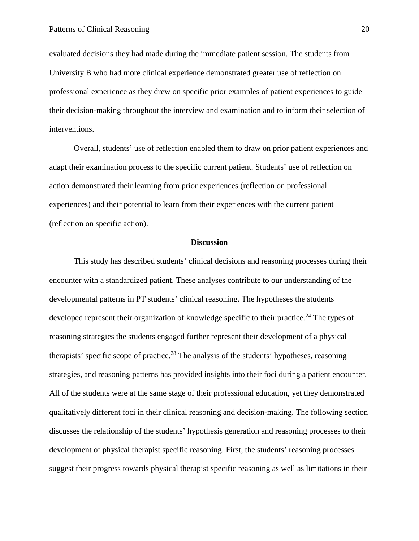evaluated decisions they had made during the immediate patient session. The students from University B who had more clinical experience demonstrated greater use of reflection on professional experience as they drew on specific prior examples of patient experiences to guide their decision-making throughout the interview and examination and to inform their selection of interventions.

Overall, students' use of reflection enabled them to draw on prior patient experiences and adapt their examination process to the specific current patient. Students' use of reflection on action demonstrated their learning from prior experiences (reflection on professional experiences) and their potential to learn from their experiences with the current patient (reflection on specific action).

#### **Discussion**

This study has described students' clinical decisions and reasoning processes during their encounter with a standardized patient. These analyses contribute to our understanding of the developmental patterns in PT students' clinical reasoning. The hypotheses the students developed represent their organization of knowledge specific to their practice.<sup>24</sup> The types of reasoning strategies the students engaged further represent their development of a physical therapists' specific scope of practice.<sup>28</sup> The analysis of the students' hypotheses, reasoning strategies, and reasoning patterns has provided insights into their foci during a patient encounter. All of the students were at the same stage of their professional education, yet they demonstrated qualitatively different foci in their clinical reasoning and decision-making. The following section discusses the relationship of the students' hypothesis generation and reasoning processes to their development of physical therapist specific reasoning. First, the students' reasoning processes suggest their progress towards physical therapist specific reasoning as well as limitations in their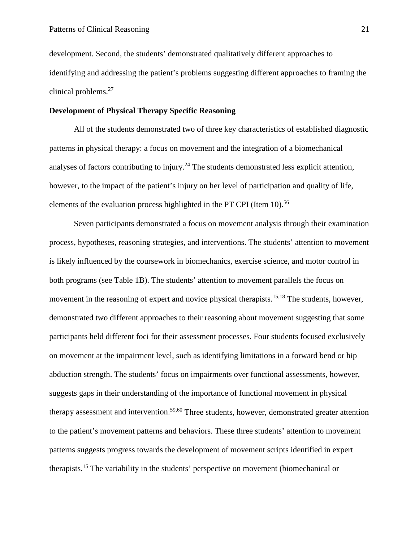development. Second, the students' demonstrated qualitatively different approaches to identifying and addressing the patient's problems suggesting different approaches to framing the clinical problems.<sup>27</sup>

#### **Development of Physical Therapy Specific Reasoning**

All of the students demonstrated two of three key characteristics of established diagnostic patterns in physical therapy: a focus on movement and the integration of a biomechanical analyses of factors contributing to injury.<sup>24</sup> The students demonstrated less explicit attention, however, to the impact of the patient's injury on her level of participation and quality of life, elements of the evaluation process highlighted in the PT CPI (Item 10).<sup>56</sup>

Seven participants demonstrated a focus on movement analysis through their examination process, hypotheses, reasoning strategies, and interventions. The students' attention to movement is likely influenced by the coursework in biomechanics, exercise science, and motor control in both programs (see Table 1B). The students' attention to movement parallels the focus on movement in the reasoning of expert and novice physical therapists.<sup>15,18</sup> The students, however, demonstrated two different approaches to their reasoning about movement suggesting that some participants held different foci for their assessment processes. Four students focused exclusively on movement at the impairment level, such as identifying limitations in a forward bend or hip abduction strength. The students' focus on impairments over functional assessments, however, suggests gaps in their understanding of the importance of functional movement in physical therapy assessment and intervention.<sup>59,60</sup> Three students, however, demonstrated greater attention to the patient's movement patterns and behaviors. These three students' attention to movement patterns suggests progress towards the development of movement scripts identified in expert therapists. <sup>15</sup> The variability in the students' perspective on movement (biomechanical or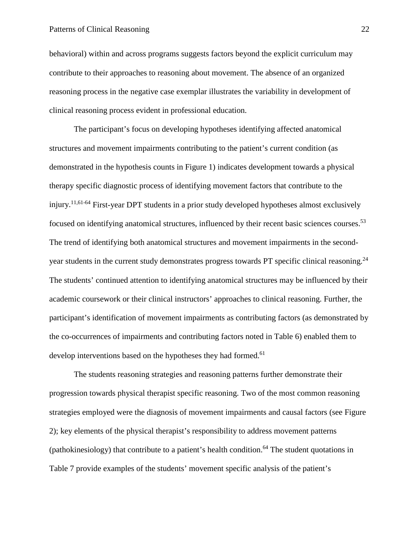#### Patterns of Clinical Reasoning 22

behavioral) within and across programs suggests factors beyond the explicit curriculum may contribute to their approaches to reasoning about movement. The absence of an organized reasoning process in the negative case exemplar illustrates the variability in development of clinical reasoning process evident in professional education.

The participant's focus on developing hypotheses identifying affected anatomical structures and movement impairments contributing to the patient's current condition (as demonstrated in the hypothesis counts in Figure 1) indicates development towards a physical therapy specific diagnostic process of identifying movement factors that contribute to the injury.<sup>11,61-64</sup> First-year DPT students in a prior study developed hypotheses almost exclusively focused on identifying anatomical structures, influenced by their recent basic sciences courses.<sup>53</sup> The trend of identifying both anatomical structures and movement impairments in the secondyear students in the current study demonstrates progress towards PT specific clinical reasoning.<sup>24</sup> The students' continued attention to identifying anatomical structures may be influenced by their academic coursework or their clinical instructors' approaches to clinical reasoning. Further, the participant's identification of movement impairments as contributing factors (as demonstrated by the co-occurrences of impairments and contributing factors noted in Table 6) enabled them to develop interventions based on the hypotheses they had formed.<sup>61</sup>

The students reasoning strategies and reasoning patterns further demonstrate their progression towards physical therapist specific reasoning. Two of the most common reasoning strategies employed were the diagnosis of movement impairments and causal factors (see Figure 2); key elements of the physical therapist's responsibility to address movement patterns (pathokinesiology) that contribute to a patient's health condition.64 The student quotations in Table 7 provide examples of the students' movement specific analysis of the patient's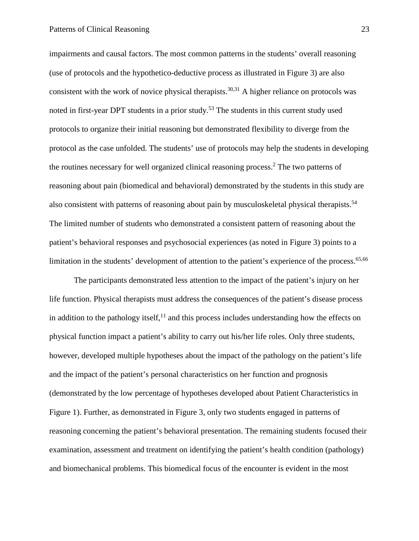impairments and causal factors. The most common patterns in the students' overall reasoning (use of protocols and the hypothetico-deductive process as illustrated in Figure 3) are also consistent with the work of novice physical therapists.<sup>30,31</sup> A higher reliance on protocols was noted in first-year DPT students in a prior study.<sup>53</sup> The students in this current study used protocols to organize their initial reasoning but demonstrated flexibility to diverge from the protocol as the case unfolded. The students' use of protocols may help the students in developing the routines necessary for well organized clinical reasoning process.<sup>2</sup> The two patterns of reasoning about pain (biomedical and behavioral) demonstrated by the students in this study are also consistent with patterns of reasoning about pain by musculoskeletal physical therapists.<sup>54</sup> The limited number of students who demonstrated a consistent pattern of reasoning about the patient's behavioral responses and psychosocial experiences (as noted in Figure 3) points to a limitation in the students' development of attention to the patient's experience of the process.<sup>65,66</sup>

The participants demonstrated less attention to the impact of the patient's injury on her life function. Physical therapists must address the consequences of the patient's disease process in addition to the pathology itself, $<sup>11</sup>$  and this process includes understanding how the effects on</sup> physical function impact a patient's ability to carry out his/her life roles. Only three students, however, developed multiple hypotheses about the impact of the pathology on the patient's life and the impact of the patient's personal characteristics on her function and prognosis (demonstrated by the low percentage of hypotheses developed about Patient Characteristics in Figure 1). Further, as demonstrated in Figure 3, only two students engaged in patterns of reasoning concerning the patient's behavioral presentation. The remaining students focused their examination, assessment and treatment on identifying the patient's health condition (pathology) and biomechanical problems. This biomedical focus of the encounter is evident in the most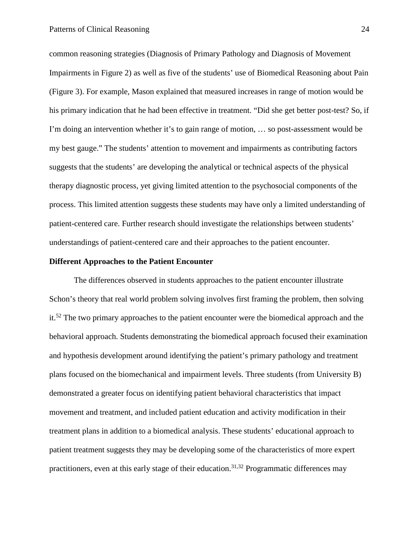common reasoning strategies (Diagnosis of Primary Pathology and Diagnosis of Movement Impairments in Figure 2) as well as five of the students' use of Biomedical Reasoning about Pain (Figure 3). For example, Mason explained that measured increases in range of motion would be his primary indication that he had been effective in treatment. "Did she get better post-test? So, if I'm doing an intervention whether it's to gain range of motion, … so post-assessment would be my best gauge." The students' attention to movement and impairments as contributing factors suggests that the students' are developing the analytical or technical aspects of the physical therapy diagnostic process, yet giving limited attention to the psychosocial components of the process. This limited attention suggests these students may have only a limited understanding of patient-centered care. Further research should investigate the relationships between students' understandings of patient-centered care and their approaches to the patient encounter.

#### **Different Approaches to the Patient Encounter**

The differences observed in students approaches to the patient encounter illustrate Schon's theory that real world problem solving involves first framing the problem, then solving it.<sup>52</sup> The two primary approaches to the patient encounter were the biomedical approach and the behavioral approach. Students demonstrating the biomedical approach focused their examination and hypothesis development around identifying the patient's primary pathology and treatment plans focused on the biomechanical and impairment levels. Three students (from University B) demonstrated a greater focus on identifying patient behavioral characteristics that impact movement and treatment, and included patient education and activity modification in their treatment plans in addition to a biomedical analysis. These students' educational approach to patient treatment suggests they may be developing some of the characteristics of more expert practitioners, even at this early stage of their education.<sup>31,32</sup> Programmatic differences may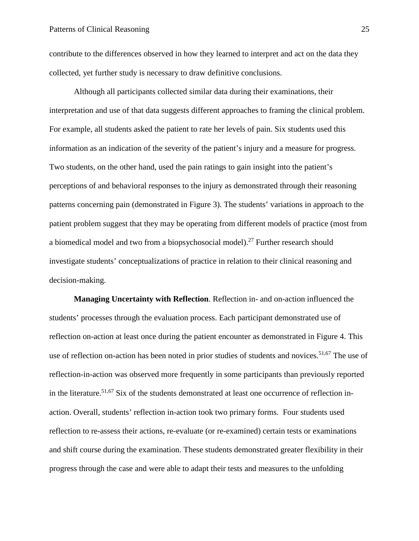contribute to the differences observed in how they learned to interpret and act on the data they collected, yet further study is necessary to draw definitive conclusions.

Although all participants collected similar data during their examinations, their interpretation and use of that data suggests different approaches to framing the clinical problem. For example, all students asked the patient to rate her levels of pain. Six students used this information as an indication of the severity of the patient's injury and a measure for progress. Two students, on the other hand, used the pain ratings to gain insight into the patient's perceptions of and behavioral responses to the injury as demonstrated through their reasoning patterns concerning pain (demonstrated in Figure 3). The students' variations in approach to the patient problem suggest that they may be operating from different models of practice (most from a biomedical model and two from a biopsychosocial model).<sup>27</sup> Further research should investigate students' conceptualizations of practice in relation to their clinical reasoning and decision-making.

**Managing Uncertainty with Reflection**. Reflection in- and on-action influenced the students' processes through the evaluation process. Each participant demonstrated use of reflection on-action at least once during the patient encounter as demonstrated in Figure 4. This use of reflection on-action has been noted in prior studies of students and novices.<sup>51,67</sup> The use of reflection-in-action was observed more frequently in some participants than previously reported in the literature.<sup>51,67</sup> Six of the students demonstrated at least one occurrence of reflection inaction. Overall, students' reflection in-action took two primary forms. Four students used reflection to re-assess their actions, re-evaluate (or re-examined) certain tests or examinations and shift course during the examination. These students demonstrated greater flexibility in their progress through the case and were able to adapt their tests and measures to the unfolding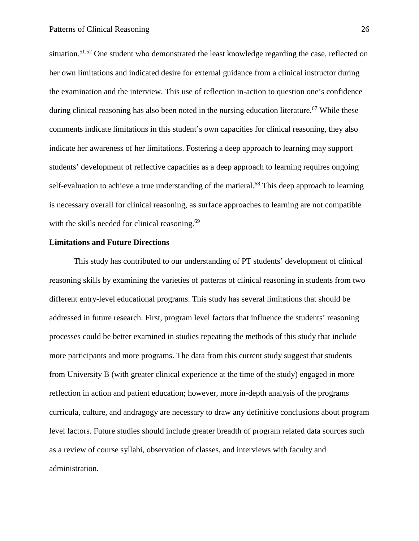situation.<sup>51,52</sup> One student who demonstrated the least knowledge regarding the case, reflected on her own limitations and indicated desire for external guidance from a clinical instructor during the examination and the interview. This use of reflection in-action to question one's confidence during clinical reasoning has also been noted in the nursing education literature.<sup>67</sup> While these comments indicate limitations in this student's own capacities for clinical reasoning, they also indicate her awareness of her limitations. Fostering a deep approach to learning may support students' development of reflective capacities as a deep approach to learning requires ongoing self-evaluation to achieve a true understanding of the matieral.<sup>68</sup> This deep approach to learning is necessary overall for clinical reasoning, as surface approaches to learning are not compatible with the skills needed for clinical reasoning.<sup>69</sup>

#### **Limitations and Future Directions**

This study has contributed to our understanding of PT students' development of clinical reasoning skills by examining the varieties of patterns of clinical reasoning in students from two different entry-level educational programs. This study has several limitations that should be addressed in future research. First, program level factors that influence the students' reasoning processes could be better examined in studies repeating the methods of this study that include more participants and more programs. The data from this current study suggest that students from University B (with greater clinical experience at the time of the study) engaged in more reflection in action and patient education; however, more in-depth analysis of the programs curricula, culture, and andragogy are necessary to draw any definitive conclusions about program level factors. Future studies should include greater breadth of program related data sources such as a review of course syllabi, observation of classes, and interviews with faculty and administration.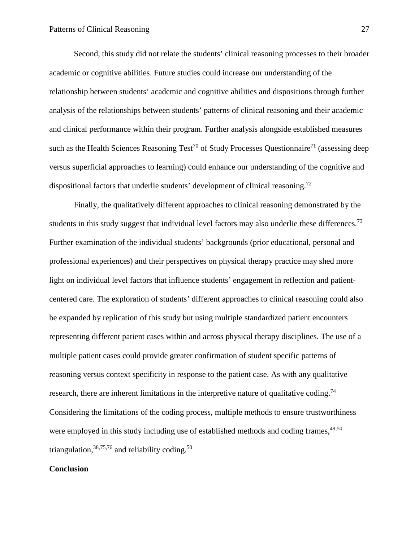Second, this study did not relate the students' clinical reasoning processes to their broader academic or cognitive abilities. Future studies could increase our understanding of the relationship between students' academic and cognitive abilities and dispositions through further analysis of the relationships between students' patterns of clinical reasoning and their academic and clinical performance within their program. Further analysis alongside established measures such as the Health Sciences Reasoning Test<sup>70</sup> of Study Processes Ouestionnaire<sup>71</sup> (assessing deep) versus superficial approaches to learning) could enhance our understanding of the cognitive and dispositional factors that underlie students' development of clinical reasoning.<sup>72</sup>

Finally, the qualitatively different approaches to clinical reasoning demonstrated by the students in this study suggest that individual level factors may also underlie these differences.<sup>73</sup> Further examination of the individual students' backgrounds (prior educational, personal and professional experiences) and their perspectives on physical therapy practice may shed more light on individual level factors that influence students' engagement in reflection and patientcentered care. The exploration of students' different approaches to clinical reasoning could also be expanded by replication of this study but using multiple standardized patient encounters representing different patient cases within and across physical therapy disciplines. The use of a multiple patient cases could provide greater confirmation of student specific patterns of reasoning versus context specificity in response to the patient case. As with any qualitative research, there are inherent limitations in the interpretive nature of qualitative coding.<sup>74</sup> Considering the limitations of the coding process, multiple methods to ensure trustworthiness were employed in this study including use of established methods and coding frames,  $49,50$ triangulation,  $38,75,76$  and reliability coding.<sup>50</sup>

#### **Conclusion**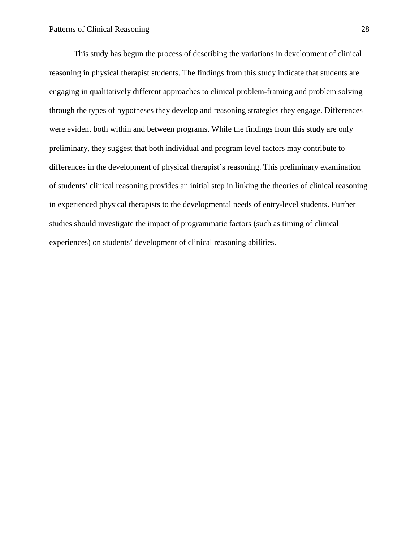This study has begun the process of describing the variations in development of clinical reasoning in physical therapist students. The findings from this study indicate that students are engaging in qualitatively different approaches to clinical problem-framing and problem solving through the types of hypotheses they develop and reasoning strategies they engage. Differences were evident both within and between programs. While the findings from this study are only preliminary, they suggest that both individual and program level factors may contribute to differences in the development of physical therapist's reasoning. This preliminary examination of students' clinical reasoning provides an initial step in linking the theories of clinical reasoning in experienced physical therapists to the developmental needs of entry-level students. Further studies should investigate the impact of programmatic factors (such as timing of clinical experiences) on students' development of clinical reasoning abilities.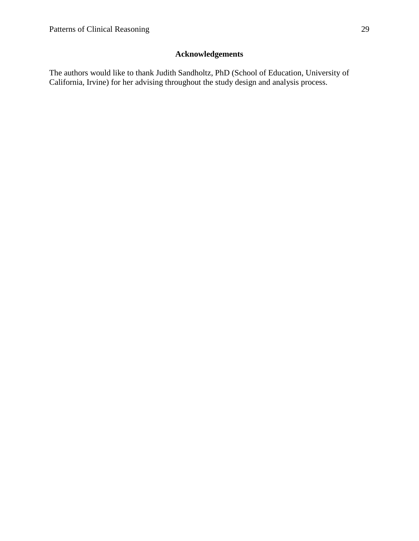## **Acknowledgements**

The authors would like to thank Judith Sandholtz, PhD (School of Education, University of California, Irvine) for her advising throughout the study design and analysis process.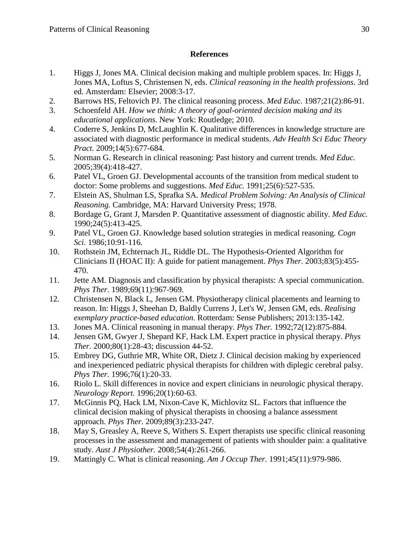## **References**

- 1. Higgs J, Jones MA. Clinical decision making and multiple problem spaces. In: Higgs J, Jones MA, Loftus S, Christensen N, eds. *Clinical reasoning in the health professions*. 3rd ed. Amsterdam: Elsevier; 2008:3-17.
- 2. Barrows HS, Feltovich PJ. The clinical reasoning process. *Med Educ.* 1987;21(2):86-91.
- 3. Schoenfeld AH. *How we think: A theory of goal-oriented decision making and its educational applications.* New York: Routledge; 2010.
- 4. Coderre S, Jenkins D, McLaughlin K. Qualitative differences in knowledge structure are associated with diagnostic performance in medical students. *Adv Health Sci Educ Theory Pract.* 2009;14(5):677-684.
- 5. Norman G. Research in clinical reasoning: Past history and current trends. *Med Educ.*  2005;39(4):418-427.
- 6. Patel VL, Groen GJ. Developmental accounts of the transition from medical student to doctor: Some problems and suggestions. *Med Educ.* 1991;25(6):527-535.
- 7. Elstein AS, Shulman LS, Sprafka SA. *Medical Problem Solving: An Analysis of Clinical Reasoning.* Cambridge, MA: Harvard University Press; 1978.
- 8. Bordage G, Grant J, Marsden P. Quantitative assessment of diagnostic ability. *Med Educ.*  1990;24(5):413-425.
- 9. Patel VL, Groen GJ. Knowledge based solution strategies in medical reasoning. *Cogn Sci.* 1986;10:91-116.
- 10. Rothstein JM, Echternach JL, Riddle DL. The Hypothesis-Oriented Algorithm for Clinicians II (HOAC II): A guide for patient management. *Phys Ther.* 2003;83(5):455- 470.
- 11. Jette AM. Diagnosis and classification by physical therapists: A special communication. *Phys Ther.* 1989;69(11):967-969.
- 12. Christensen N, Black L, Jensen GM. Physiotherapy clinical placements and learning to reason. In: Higgs J, Sheehan D, Baldly Currens J, Let's W, Jensen GM, eds. *Realising exemplary practice-based education*. Rotterdam: Sense Publishers; 2013:135-142.
- 13. Jones MA. Clinical reasoning in manual therapy. *Phys Ther.* 1992;72(12):875-884.
- 14. Jensen GM, Gwyer J, Shepard KF, Hack LM. Expert practice in physical therapy. *Phys Ther.* 2000;80(1):28-43; discussion 44-52.
- 15. Embrey DG, Guthrie MR, White OR, Dietz J. Clinical decision making by experienced and inexperienced pediatric physical therapists for children with diplegic cerebral palsy. *Phys Ther.* 1996;76(1):20-33.
- 16. Riolo L. Skill differences in novice and expert clinicians in neurologic physical therapy. *Neurology Report.* 1996;20(1):60-63.
- 17. McGinnis PQ, Hack LM, Nixon-Cave K, Michlovitz SL. Factors that influence the clinical decision making of physical therapists in choosing a balance assessment approach. *Phys Ther.* 2009;89(3):233-247.
- 18. May S, Greasley A, Reeve S, Withers S. Expert therapists use specific clinical reasoning processes in the assessment and management of patients with shoulder pain: a qualitative study. *Aust J Physiother.* 2008;54(4):261-266.
- 19. Mattingly C. What is clinical reasoning. *Am J Occup Ther.* 1991;45(11):979-986.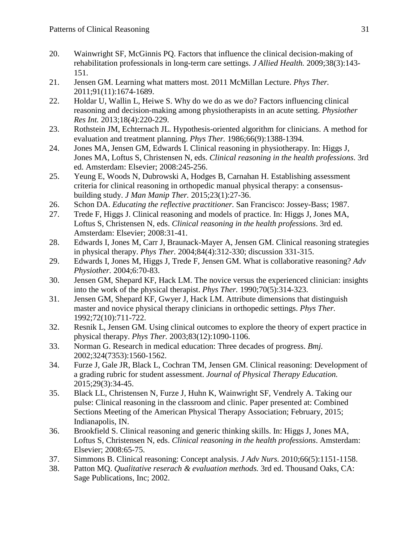- 20. Wainwright SF, McGinnis PQ. Factors that influence the clinical decision-making of rehabilitation professionals in long-term care settings. *J Allied Health.* 2009;38(3):143- 151.
- 21. Jensen GM. Learning what matters most. 2011 McMillan Lecture. *Phys Ther.*  2011;91(11):1674-1689.
- 22. Holdar U, Wallin L, Heiwe S. Why do we do as we do? Factors influencing clinical reasoning and decision-making among physiotherapists in an acute setting. *Physiother Res Int.* 2013;18(4):220-229.
- 23. Rothstein JM, Echternach JL. Hypothesis-oriented algorithm for clinicians. A method for evaluation and treatment planning. *Phys Ther.* 1986;66(9):1388-1394.
- 24. Jones MA, Jensen GM, Edwards I. Clinical reasoning in physiotherapy. In: Higgs J, Jones MA, Loftus S, Christensen N, eds. *Clinical reasoning in the health professions*. 3rd ed. Amsterdam: Elsevier; 2008:245-256.
- 25. Yeung E, Woods N, Dubrowski A, Hodges B, Carnahan H. Establishing assessment criteria for clinical reasoning in orthopedic manual physical therapy: a consensusbuilding study. *J Man Manip Ther.* 2015;23(1):27-36.
- 26. Schon DA. *Educating the reflective practitioner.* San Francisco: Jossey-Bass; 1987.
- 27. Trede F, Higgs J. Clinical reasoning and models of practice. In: Higgs J, Jones MA, Loftus S, Christensen N, eds. *Clinical reasoning in the health professions*. 3rd ed. Amsterdam: Elsevier; 2008:31-41.
- 28. Edwards I, Jones M, Carr J, Braunack-Mayer A, Jensen GM. Clinical reasoning strategies in physical therapy. *Phys Ther.* 2004;84(4):312-330; discussion 331-315.
- 29. Edwards I, Jones M, Higgs J, Trede F, Jensen GM. What is collaborative reasoning? *Adv Physiother.* 2004;6:70-83.
- 30. Jensen GM, Shepard KF, Hack LM. The novice versus the experienced clinician: insights into the work of the physical therapist. *Phys Ther.* 1990;70(5):314-323.
- 31. Jensen GM, Shepard KF, Gwyer J, Hack LM. Attribute dimensions that distinguish master and novice physical therapy clinicians in orthopedic settings. *Phys Ther.*  1992;72(10):711-722.
- 32. Resnik L, Jensen GM. Using clinical outcomes to explore the theory of expert practice in physical therapy. *Phys Ther.* 2003;83(12):1090-1106.
- 33. Norman G. Research in medical education: Three decades of progress. *Bmj.*  2002;324(7353):1560-1562.
- 34. Furze J, Gale JR, Black L, Cochran TM, Jensen GM. Clinical reasoning: Development of a grading rubric for student assessment. *Journal of Physical Therapy Education.*  2015;29(3):34-45.
- 35. Black LL, Christensen N, Furze J, Huhn K, Wainwright SF, Vendrely A. Taking our pulse: Clinical reasoning in the classroom and clinic. Paper presented at: Combined Sections Meeting of the American Physical Therapy Association; February, 2015; Indianapolis, IN.
- 36. Brookfield S. Clinical reasoning and generic thinking skills. In: Higgs J, Jones MA, Loftus S, Christensen N, eds. *Clinical reasoning in the health professions*. Amsterdam: Elsevier; 2008:65-75.
- 37. Simmons B. Clinical reasoning: Concept analysis. *J Adv Nurs.* 2010;66(5):1151-1158.
- 38. Patton MQ. *Qualitative reserach & evaluation methods.* 3rd ed. Thousand Oaks, CA: Sage Publications, Inc; 2002.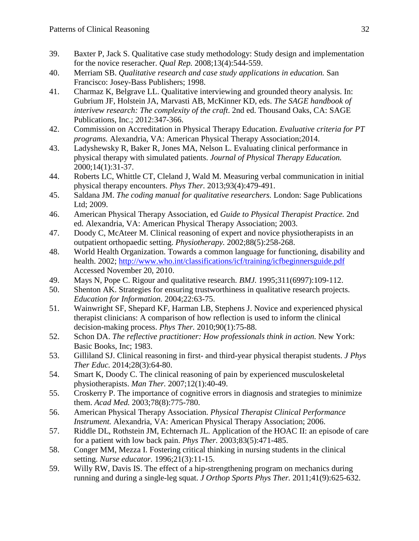- 39. Baxter P, Jack S. Qualitative case study methodology: Study design and implementation for the novice reseracher. *Qual Rep.* 2008;13(4):544-559.
- 40. Merriam SB. *Qualitative research and case study applications in education.* San Francisco: Josey-Bass Publishers; 1998.
- 41. Charmaz K, Belgrave LL. Qualitative interviewing and grounded theory analysis. In: Gubrium JF, Holstein JA, Marvasti AB, McKinner KD, eds. *The SAGE handbook of interivew research: The complexity of the craft*. 2nd ed. Thousand Oaks, CA: SAGE Publications, Inc.; 2012:347-366.
- 42. Commission on Accreditation in Physical Therapy Education. *Evaluative criteria for PT programs.* Alexandria, VA: American Physical Therapy Association;2014.
- 43. Ladyshewsky R, Baker R, Jones MA, Nelson L. Evaluating clinical performance in physical therapy with simulated patients. *Journal of Physical Therapy Education.*  2000;14(1):31-37.
- 44. Roberts LC, Whittle CT, Cleland J, Wald M. Measuring verbal communication in initial physical therapy encounters. *Phys Ther.* 2013;93(4):479-491.
- 45. Saldana JM. *The coding manual for qualitative researchers.* London: Sage Publications Ltd; 2009.
- 46. American Physical Therapy Association, ed *Guide to Physical Therapist Practice.* 2nd ed. Alexandria, VA: American Physical Therapy Association; 2003.
- 47. Doody C, McAteer M. Clinical reasoning of expert and novice physiotherapists in an outpatient orthopaedic setting. *Physiotherapy.* 2002;88(5):258-268.
- 48. World Health Organization. Towards a common language for functioning, disability and health. 2002;<http://www.who.int/classifications/icf/training/icfbeginnersguide.pdf> Accessed November 20, 2010.
- 49. Mays N, Pope C. Rigour and qualitative research. *BMJ.* 1995;311(6997):109-112.
- 50. Shenton AK. Strategies for ensuring trustworthiness in qualitative research projects. *Education for Information.* 2004;22:63-75.
- 51. Wainwright SF, Shepard KF, Harman LB, Stephens J. Novice and experienced physical therapist clinicians: A comparison of how reflection is used to inform the clinical decision-making process. *Phys Ther.* 2010;90(1):75-88.
- 52. Schon DA. *The reflective practitioner: How professionals think in action.* New York: Basic Books, Inc; 1983.
- 53. Gilliland SJ. Clinical reasoning in first- and third-year physical therapist students. *J Phys Ther Educ.* 2014;28(3):64-80.
- 54. Smart K, Doody C. The clinical reasoning of pain by experienced musculoskeletal physiotherapists. *Man Ther.* 2007;12(1):40-49.
- 55. Croskerry P. The importance of cognitive errors in diagnosis and strategies to minimize them. *Acad Med.* 2003;78(8):775-780.
- 56. American Physical Therapy Association. *Physical Therapist Clinical Performance Instrument.* Alexandria, VA: American Physical Therapy Association: 2006.
- 57. Riddle DL, Rothstein JM, Echternach JL. Application of the HOAC II: an episode of care for a patient with low back pain. *Phys Ther.* 2003;83(5):471-485.
- 58. Conger MM, Mezza I. Fostering critical thinking in nursing students in the clinical setting. *Nurse educator.* 1996;21(3):11-15.
- 59. Willy RW, Davis IS. The effect of a hip-strengthening program on mechanics during running and during a single-leg squat. *J Orthop Sports Phys Ther.* 2011;41(9):625-632.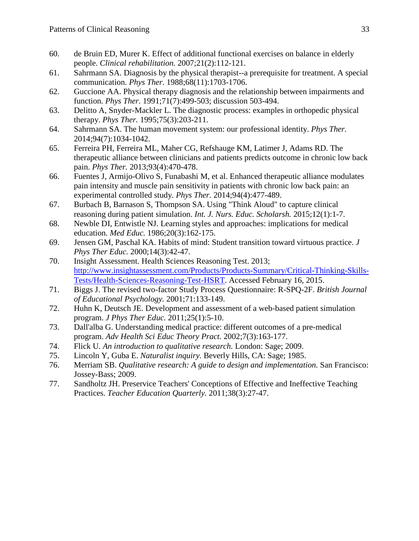- 60. de Bruin ED, Murer K. Effect of additional functional exercises on balance in elderly people. *Clinical rehabilitation.* 2007;21(2):112-121.
- 61. Sahrmann SA. Diagnosis by the physical therapist--a prerequisite for treatment. A special communication. *Phys Ther.* 1988;68(11):1703-1706.
- 62. Guccione AA. Physical therapy diagnosis and the relationship between impairments and function. *Phys Ther.* 1991;71(7):499-503; discussion 503-494.
- 63. Delitto A, Snyder-Mackler L. The diagnostic process: examples in orthopedic physical therapy. *Phys Ther.* 1995;75(3):203-211.
- 64. Sahrmann SA. The human movement system: our professional identity. *Phys Ther.*  2014;94(7):1034-1042.
- 65. Ferreira PH, Ferreira ML, Maher CG, Refshauge KM, Latimer J, Adams RD. The therapeutic alliance between clinicians and patients predicts outcome in chronic low back pain. *Phys Ther.* 2013;93(4):470-478.
- 66. Fuentes J, Armijo-Olivo S, Funabashi M, et al. Enhanced therapeutic alliance modulates pain intensity and muscle pain sensitivity in patients with chronic low back pain: an experimental controlled study. *Phys Ther.* 2014;94(4):477-489.
- 67. Burbach B, Barnason S, Thompson SA. Using "Think Aloud" to capture clinical reasoning during patient simulation. *Int. J. Nurs. Educ. Scholarsh.* 2015;12(1):1-7.
- 68. Newble DI, Entwistle NJ. Learning styles and approaches: implications for medical education. *Med Educ.* 1986;20(3):162-175.
- 69. Jensen GM, Paschal KA. Habits of mind: Student transition toward virtuous practice. *J Phys Ther Educ.* 2000;14(3):42-47.
- 70. Insight Assessment. Health Sciences Reasoning Test. 2013; [http://www.insightassessment.com/Products/Products-Summary/Critical-Thinking-Skills-](http://www.insightassessment.com/Products/Products-Summary/Critical-Thinking-Skills-Tests/Health-Sciences-Reasoning-Test-HSRT)[Tests/Health-Sciences-Reasoning-Test-HSRT.](http://www.insightassessment.com/Products/Products-Summary/Critical-Thinking-Skills-Tests/Health-Sciences-Reasoning-Test-HSRT) Accessed February 16, 2015.
- 71. Biggs J. The revised two-factor Study Process Questionnaire: R-SPQ-2F. *British Journal of Educational Psychology.* 2001;71:133-149.
- 72. Huhn K, Deutsch JE. Development and assessment of a web-based patient simulation program. *J Phys Ther Educ.* 2011;25(1):5-10.
- 73. Dall'alba G. Understanding medical practice: different outcomes of a pre-medical program. *Adv Health Sci Educ Theory Pract.* 2002;7(3):163-177.
- 74. Flick U. *An introduction to qualitative research.* London: Sage; 2009.
- 75. Lincoln Y, Guba E. *Naturalist inquiry.* Beverly Hills, CA: Sage; 1985.
- 76. Merriam SB. *Qualitative research: A guide to design and implementation.* San Francisco: Jossey-Bass; 2009.
- 77. Sandholtz JH. Preservice Teachers' Conceptions of Effective and Ineffective Teaching Practices. *Teacher Education Quarterly.* 2011;38(3):27-47.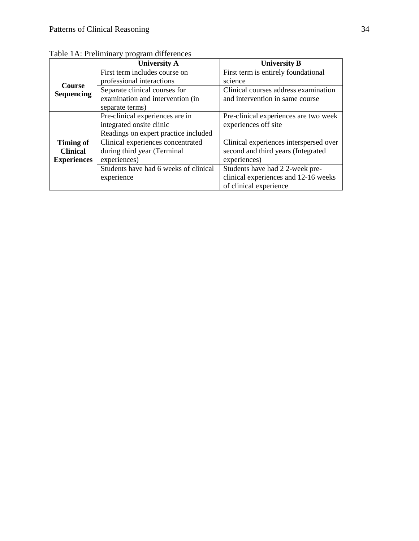|                                                       | <b>University A</b>                   | <b>University B</b>                    |  |
|-------------------------------------------------------|---------------------------------------|----------------------------------------|--|
|                                                       | First term includes course on         | First term is entirely foundational    |  |
|                                                       | professional interactions             | science                                |  |
| <b>Course</b><br><b>Sequencing</b>                    | Separate clinical courses for         | Clinical courses address examination   |  |
|                                                       | examination and intervention (in      | and intervention in same course        |  |
|                                                       | separate terms)                       |                                        |  |
|                                                       | Pre-clinical experiences are in       | Pre-clinical experiences are two week  |  |
|                                                       | integrated onsite clinic              | experiences off site                   |  |
|                                                       | Readings on expert practice included  |                                        |  |
| Clinical experiences concentrated<br><b>Timing of</b> |                                       | Clinical experiences interspersed over |  |
| during third year (Terminal<br><b>Clinical</b>        |                                       | second and third years (Integrated     |  |
| experiences)<br><b>Experiences</b>                    |                                       | experiences)                           |  |
|                                                       | Students have had 6 weeks of clinical | Students have had 2 2-week pre-        |  |
|                                                       | experience                            | clinical experiences and 12-16 weeks   |  |
|                                                       |                                       | of clinical experience                 |  |

Table 1A: Preliminary program differences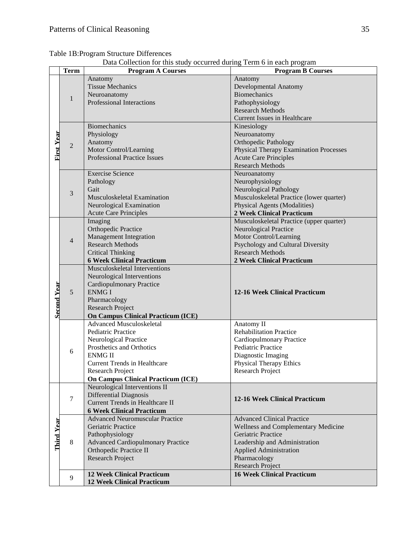Data Collection for this study occurred during Term 6 in each program

|                    | <b>Term</b>    | <b>Program A Courses</b>                  | <b>Program B Courses</b>                      |  |  |
|--------------------|----------------|-------------------------------------------|-----------------------------------------------|--|--|
|                    |                | Anatomy                                   | Anatomy                                       |  |  |
|                    |                | <b>Tissue Mechanics</b>                   | <b>Developmental Anatomy</b>                  |  |  |
|                    | $\mathbf{1}$   | Neuroanatomy                              | <b>Biomechanics</b>                           |  |  |
|                    |                | <b>Professional Interactions</b>          | Pathophysiology                               |  |  |
|                    |                |                                           | <b>Research Methods</b>                       |  |  |
| First Year         |                |                                           | <b>Current Issues in Healthcare</b>           |  |  |
|                    |                | <b>Biomechanics</b>                       | Kinesiology                                   |  |  |
|                    | $\overline{2}$ | Physiology                                | Neuroanatomy                                  |  |  |
|                    |                | Anatomy                                   | Orthopedic Pathology                          |  |  |
|                    |                | Motor Control/Learning                    | <b>Physical Therapy Examination Processes</b> |  |  |
|                    |                | <b>Professional Practice Issues</b>       | <b>Acute Care Principles</b>                  |  |  |
|                    |                |                                           | <b>Research Methods</b>                       |  |  |
|                    |                | <b>Exercise Science</b>                   | Neuroanatomy                                  |  |  |
|                    |                | Pathology                                 | Neurophysiology                               |  |  |
|                    |                | Gait                                      | Neurological Pathology                        |  |  |
|                    | 3              | Musculoskeletal Examination               | Musculoskeletal Practice (lower quarter)      |  |  |
|                    |                | Neurological Examination                  | <b>Physical Agents (Modalities)</b>           |  |  |
|                    |                | <b>Acute Care Principles</b>              | <b>2 Week Clinical Practicum</b>              |  |  |
|                    |                | Imaging                                   | Musculoskeletal Practice (upper quarter)      |  |  |
|                    |                | <b>Orthopedic Practice</b>                | Neurological Practice                         |  |  |
|                    |                | <b>Management Integration</b>             | Motor Control/Learning                        |  |  |
|                    | $\overline{4}$ | <b>Research Methods</b>                   | Psychology and Cultural Diversity             |  |  |
|                    |                | <b>Critical Thinking</b>                  | <b>Research Methods</b>                       |  |  |
|                    |                | <b>6 Week Clinical Practicum</b>          | <b>2 Week Clinical Practicum</b>              |  |  |
|                    |                | Musculoskeletal Interventions             |                                               |  |  |
|                    |                | Neurological Interventions                |                                               |  |  |
|                    |                | <b>Cardiopulmonary Practice</b>           |                                               |  |  |
|                    | 5              | <b>ENMGI</b>                              | <b>12-16 Week Clinical Practicum</b>          |  |  |
|                    |                | Pharmacology                              |                                               |  |  |
|                    |                | <b>Research Project</b>                   |                                               |  |  |
| <b>Second Year</b> |                | <b>On Campus Clinical Practicum (ICE)</b> |                                               |  |  |
|                    |                | <b>Advanced Musculoskeletal</b>           | Anatomy II                                    |  |  |
|                    |                | Pediatric Practice                        | <b>Rehabilitation Practice</b>                |  |  |
|                    |                | Neurological Practice                     | <b>Cardiopulmonary Practice</b>               |  |  |
|                    |                | Prosthetics and Orthotics                 | <b>Pediatric Practice</b>                     |  |  |
|                    | 6              | <b>ENMG II</b>                            | Diagnostic Imaging                            |  |  |
|                    |                | <b>Current Trends in Healthcare</b>       | <b>Physical Therapy Ethics</b>                |  |  |
|                    |                | Research Project                          | Research Project                              |  |  |
|                    |                | <b>On Campus Clinical Practicum (ICE)</b> |                                               |  |  |
|                    |                | Neurological Interventions II             |                                               |  |  |
|                    |                | <b>Differential Diagnosis</b>             |                                               |  |  |
|                    | $\tau$         | Current Trends in Healthcare II           | <b>12-16 Week Clinical Practicum</b>          |  |  |
|                    |                | <b>6 Week Clinical Practicum</b>          |                                               |  |  |
|                    |                | <b>Advanced Neuromuscular Practice</b>    | <b>Advanced Clinical Practice</b>             |  |  |
|                    |                | Geriatric Practice                        | Wellness and Complementary Medicine           |  |  |
| Third Year         |                | Pathophysiology                           | Geriatric Practice                            |  |  |
|                    | $\,8$          | <b>Advanced Cardiopulmonary Practice</b>  | Leadership and Administration                 |  |  |
|                    |                | <b>Orthopedic Practice II</b>             | <b>Applied Administration</b>                 |  |  |
|                    |                | <b>Research Project</b>                   | Pharmacology                                  |  |  |
|                    |                |                                           | Research Project                              |  |  |
|                    |                | <b>12 Week Clinical Practicum</b>         | <b>16 Week Clinical Practicum</b>             |  |  |
|                    | 9              | <b>12 Week Clinical Practicum</b>         |                                               |  |  |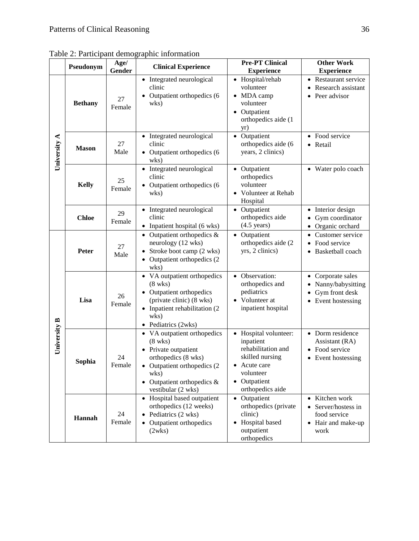|              | Pseudonym      | Age/<br>Gender | <b>Clinical Experience</b>                                                                                                                                                                  | <b>Pre-PT Clinical</b><br><b>Experience</b>                                                                                                  | <b>Other Work</b><br><b>Experience</b>                                                                                         |  |
|--------------|----------------|----------------|---------------------------------------------------------------------------------------------------------------------------------------------------------------------------------------------|----------------------------------------------------------------------------------------------------------------------------------------------|--------------------------------------------------------------------------------------------------------------------------------|--|
| University A | <b>Bethany</b> | 27<br>Female   | • Integrated neurological<br>clinic<br>Outpatient orthopedics (6<br>wks)                                                                                                                    | • Hospital/rehab<br>volunteer<br>$\bullet$ MDA camp<br>volunteer<br>• Outpatient<br>orthopedics aide (1<br>yr)                               | Restaurant service<br>$\bullet$<br>Research assistant<br>$\bullet$<br>Peer advisor<br>$\bullet$                                |  |
|              | <b>Mason</b>   | 27<br>Male     | • Integrated neurological<br>clinic<br>• Outpatient orthopedics (6<br>wks)                                                                                                                  | Outpatient<br>$\bullet$<br>orthopedics aide (6<br>years, 2 clinics)                                                                          | • Food service<br>• Retail                                                                                                     |  |
|              | <b>Kelly</b>   | 25<br>Female   | • Integrated neurological<br>clinic<br>Outpatient orthopedics (6<br>wks)                                                                                                                    | • Outpatient<br>orthopedics<br>volunteer<br>Volunteer at Rehab<br>Hospital                                                                   | • Water polo coach                                                                                                             |  |
|              | <b>Chloe</b>   | 29<br>Female   | • Integrated neurological<br>clinic<br>Inpatient hospital (6 wks)                                                                                                                           | • Outpatient<br>orthopedics aide<br>$(4.5 \text{ years})$                                                                                    | • Interior design<br>Gym coordinator<br>٠<br>Organic orchard<br>$\bullet$                                                      |  |
| University B | Peter          | 27<br>Male     | • Outpatient orthopedics $&$<br>neurology (12 wks)<br>Stroke boot camp (2 wks)<br>Outpatient orthopedics (2)<br>$\bullet$<br>wks)                                                           | Outpatient<br>$\bullet$<br>orthopedics aide (2<br>yrs, 2 clinics)                                                                            | Customer service<br>$\bullet$<br>Food service<br>$\bullet$<br>Basketball coach<br>$\bullet$                                    |  |
|              | Lisa           | 26<br>Female   | • VA outpatient orthopedics<br>$(8 \text{ wks})$<br>• Outpatient orthopedics<br>(private clinic) (8 wks)<br>• Inpatient rehabilitation (2)<br>wks)<br>$\bullet$ Pediatrics (2wks)           | Observation:<br>$\bullet$<br>orthopedics and<br>pediatrics<br>• Volunteer at<br>inpatient hospital                                           | Corporate sales<br>$\bullet$<br>Nanny/babysitting<br>$\bullet$<br>Gym front desk<br>$\bullet$<br>Event hostessing<br>$\bullet$ |  |
|              | Sophia         | 24<br>Female   | • VA outpatient orthopedics<br>$(8 \text{ wks})$<br>• Private outpatient<br>orthopedics (8 wks)<br>Outpatient orthopedics (2)<br>wks)<br>• Outpatient orthopedics $&$<br>vestibular (2 wks) | • Hospital volunteer:<br>inpatient<br>rehabilitation and<br>skilled nursing<br>• Acute care<br>volunteer<br>• Outpatient<br>orthopedics aide | • Dorm residence<br>Assistant (RA)<br>• Food service<br>• Event hostessing                                                     |  |
|              | Hannah         | 24<br>Female   | • Hospital based outpatient<br>orthopedics (12 weeks)<br>$\bullet$ Pediatrics (2 wks)<br>• Outpatient orthopedics<br>(2wks)                                                                 | Outpatient<br>$\bullet$<br>orthopedics (private<br>clinic)<br>Hospital based<br>outpatient<br>orthopedics                                    | • Kitchen work<br>Server/hostess in<br>$\bullet$<br>food service<br>• Hair and make-up<br>work                                 |  |

Table 2: Participant demographic information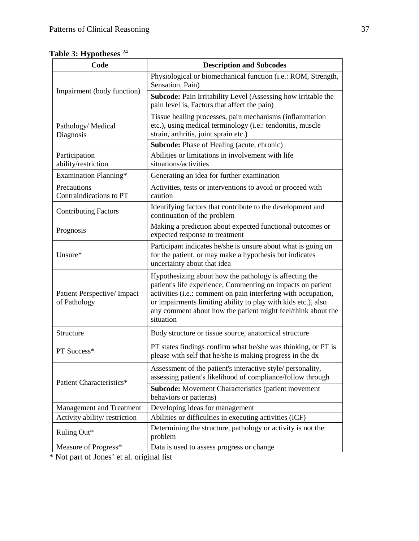| Table 3: Hypotheses <sup>24</sup> |  |
|-----------------------------------|--|
|-----------------------------------|--|

| Code                                       | <b>Description and Subcodes</b>                                                                                                                                                                                                                                                                                                       |  |  |  |
|--------------------------------------------|---------------------------------------------------------------------------------------------------------------------------------------------------------------------------------------------------------------------------------------------------------------------------------------------------------------------------------------|--|--|--|
|                                            | Physiological or biomechanical function (i.e.: ROM, Strength,<br>Sensation, Pain)                                                                                                                                                                                                                                                     |  |  |  |
| Impairment (body function)                 | Subcode: Pain Irritability Level (Assessing how irritable the<br>pain level is, Factors that affect the pain)                                                                                                                                                                                                                         |  |  |  |
| Pathology/Medical<br>Diagnosis             | Tissue healing processes, pain mechanisms (inflammation<br>etc.), using medical terminology (i.e.: tendonitis, muscle<br>strain, arthritis, joint sprain etc.)                                                                                                                                                                        |  |  |  |
|                                            | Subcode: Phase of Healing (acute, chronic)                                                                                                                                                                                                                                                                                            |  |  |  |
| Participation<br>ability/restriction       | Abilities or limitations in involvement with life<br>situations/activities                                                                                                                                                                                                                                                            |  |  |  |
| Examination Planning*                      | Generating an idea for further examination                                                                                                                                                                                                                                                                                            |  |  |  |
| Precautions<br>Contraindications to PT     | Activities, tests or interventions to avoid or proceed with<br>caution                                                                                                                                                                                                                                                                |  |  |  |
| <b>Contributing Factors</b>                | Identifying factors that contribute to the development and<br>continuation of the problem                                                                                                                                                                                                                                             |  |  |  |
| Prognosis                                  | Making a prediction about expected functional outcomes or<br>expected response to treatment                                                                                                                                                                                                                                           |  |  |  |
| Unsure*                                    | Participant indicates he/she is unsure about what is going on<br>for the patient, or may make a hypothesis but indicates<br>uncertainty about that idea                                                                                                                                                                               |  |  |  |
| Patient Perspective/Impact<br>of Pathology | Hypothesizing about how the pathology is affecting the<br>patient's life experience, Commenting on impacts on patient<br>activities (i.e.: comment on pain interfering with occupation,<br>or impairments limiting ability to play with kids etc.), also<br>any comment about how the patient might feel/think about the<br>situation |  |  |  |
| Structure                                  | Body structure or tissue source, anatomical structure                                                                                                                                                                                                                                                                                 |  |  |  |
| PT Success*                                | PT states findings confirm what he/she was thinking, or PT is<br>please with self that he/she is making progress in the dx                                                                                                                                                                                                            |  |  |  |
| Patient Characteristics*                   | Assessment of the patient's interactive style/ personality,<br>assessing patient's likelihood of compliance/follow through                                                                                                                                                                                                            |  |  |  |
|                                            | <b>Subcode:</b> Movement Characteristics (patient movement<br>behaviors or patterns)                                                                                                                                                                                                                                                  |  |  |  |
| Management and Treatment                   | Developing ideas for management                                                                                                                                                                                                                                                                                                       |  |  |  |
| Activity ability/ restriction              | Abilities or difficulties in executing activities (ICF)                                                                                                                                                                                                                                                                               |  |  |  |
| Ruling Out*                                | Determining the structure, pathology or activity is not the<br>problem                                                                                                                                                                                                                                                                |  |  |  |
| Measure of Progress*                       | Data is used to assess progress or change                                                                                                                                                                                                                                                                                             |  |  |  |

\* Not part of Jones' et al. original list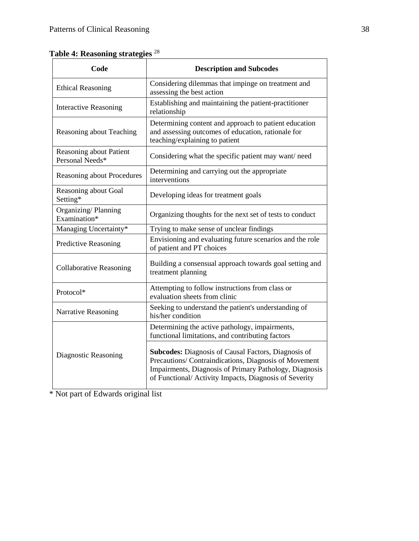| Table 4: Reasoning strategies <sup>28</sup> |  |
|---------------------------------------------|--|
|---------------------------------------------|--|

| Code                                       | <b>Description and Subcodes</b>                                                                                                                                                                                                         |  |  |
|--------------------------------------------|-----------------------------------------------------------------------------------------------------------------------------------------------------------------------------------------------------------------------------------------|--|--|
| <b>Ethical Reasoning</b>                   | Considering dilemmas that impinge on treatment and<br>assessing the best action                                                                                                                                                         |  |  |
| <b>Interactive Reasoning</b>               | Establishing and maintaining the patient-practitioner<br>relationship                                                                                                                                                                   |  |  |
| Reasoning about Teaching                   | Determining content and approach to patient education<br>and assessing outcomes of education, rationale for<br>teaching/explaining to patient                                                                                           |  |  |
| Reasoning about Patient<br>Personal Needs* | Considering what the specific patient may want/ need                                                                                                                                                                                    |  |  |
| Reasoning about Procedures                 | Determining and carrying out the appropriate<br>interventions                                                                                                                                                                           |  |  |
| Reasoning about Goal<br>Setting*           | Developing ideas for treatment goals                                                                                                                                                                                                    |  |  |
| Organizing/Planning<br>Examination*        | Organizing thoughts for the next set of tests to conduct                                                                                                                                                                                |  |  |
| Managing Uncertainty*                      | Trying to make sense of unclear findings                                                                                                                                                                                                |  |  |
| <b>Predictive Reasoning</b>                | Envisioning and evaluating future scenarios and the role<br>of patient and PT choices                                                                                                                                                   |  |  |
| <b>Collaborative Reasoning</b>             | Building a consensual approach towards goal setting and<br>treatment planning                                                                                                                                                           |  |  |
| Protocol*                                  | Attempting to follow instructions from class or<br>evaluation sheets from clinic                                                                                                                                                        |  |  |
| Narrative Reasoning                        | Seeking to understand the patient's understanding of<br>his/her condition                                                                                                                                                               |  |  |
|                                            | Determining the active pathology, impairments,<br>functional limitations, and contributing factors                                                                                                                                      |  |  |
| Diagnostic Reasoning                       | <b>Subcodes:</b> Diagnosis of Causal Factors, Diagnosis of<br>Precautions/ Contraindications, Diagnosis of Movement<br>Impairments, Diagnosis of Primary Pathology, Diagnosis<br>of Functional/ Activity Impacts, Diagnosis of Severity |  |  |

\* Not part of Edwards original list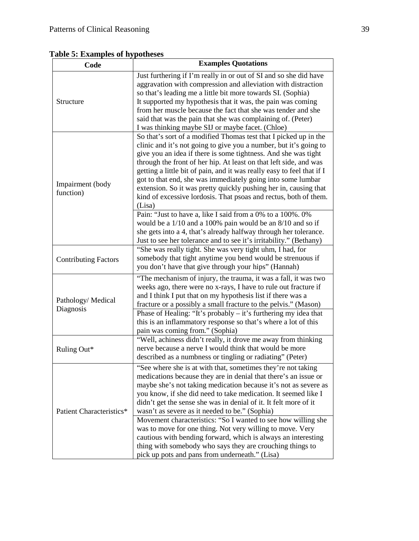**Code Examples Quotations** Structure Just furthering if I'm really in or out of SI and so she did have aggravation with compression and alleviation with distraction so that's leading me a little bit more towards SI. (Sophia) It supported my hypothesis that it was, the pain was coming from her muscle because the fact that she was tender and she said that was the pain that she was complaining of. (Peter) I was thinking maybe SIJ or maybe facet. (Chloe) Impairment (body function) So that's sort of a modified Thomas test that I picked up in the clinic and it's not going to give you a number, but it's going to give you an idea if there is some tightness. And she was tight through the front of her hip. At least on that left side, and was getting a little bit of pain, and it was really easy to feel that if I got to that end, she was immediately going into some lumbar extension. So it was pretty quickly pushing her in, causing that kind of excessive lordosis. That psoas and rectus, both of them. (Lisa) Pain: "Just to have a, like I said from a 0% to a 100%. 0% would be a 1/10 and a 100% pain would be an 8/10 and so if she gets into a 4, that's already halfway through her tolerance. Just to see her tolerance and to see it's irritability." (Bethany) Contributing Factors "She was really tight. She was very tight uhm, I had, for somebody that tight anytime you bend would be strenuous if you don't have that give through your hips" (Hannah) Pathology/ Medical Diagnosis "The mechanism of injury, the trauma, it was a fall, it was two weeks ago, there were no x-rays, I have to rule out fracture if and I think I put that on my hypothesis list if there was a fracture or a possibly a small fracture to the pelvis." (Mason) Phase of Healing: "It's probably – it's furthering my idea that this is an inflammatory response so that's where a lot of this pain was coming from." (Sophia) Ruling Out\* "Well, achiness didn't really, it drove me away from thinking nerve because a nerve I would think that would be more described as a numbness or tingling or radiating" (Peter) Patient Characteristics\* "See where she is at with that, sometimes they're not taking medications because they are in denial that there's an issue or maybe she's not taking medication because it's not as severe as you know, if she did need to take medication. It seemed like I didn't get the sense she was in denial of it. It felt more of it wasn't as severe as it needed to be." (Sophia) Movement characteristics: "So I wanted to see how willing she was to move for one thing. Not very willing to move. Very cautious with bending forward, which is always an interesting thing with somebody who says they are crouching things to pick up pots and pans from underneath." (Lisa)

**Table 5: Examples of hypotheses**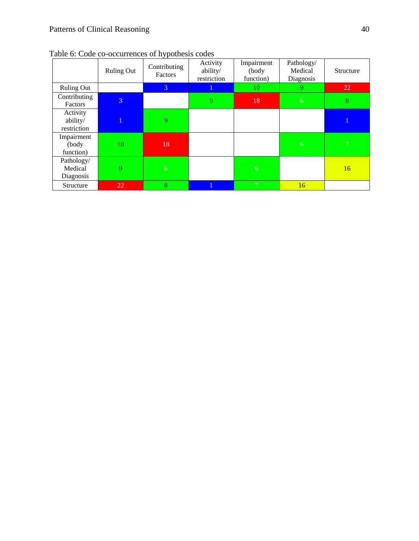|                                     | <b>Ruling Out</b> | Contributing<br>Factors | Activity<br>ability/<br>restriction | Impairment<br>(body<br>function) | Pathology/<br>Medical<br>Diagnosis | Structure |
|-------------------------------------|-------------------|-------------------------|-------------------------------------|----------------------------------|------------------------------------|-----------|
| <b>Ruling Out</b>                   |                   | 3                       |                                     | 10                               | 9                                  | 22        |
| Contributing<br>Factors             | $\overline{3}$    |                         | 9                                   | 18                               | 6                                  | 8         |
| Activity<br>ability/<br>restriction |                   | 9                       |                                     |                                  |                                    |           |
| Impairment<br>(body)<br>function)   | 10                | 18                      |                                     |                                  | 6                                  | 7         |
| Pathology/<br>Medical<br>Diagnosis  | 9                 | 6                       |                                     | $\sigma$                         |                                    | 16        |
| Structure                           | 22                | 8                       |                                     | 7                                | 16                                 |           |

Table 6: Code co-occurrences of hypothesis codes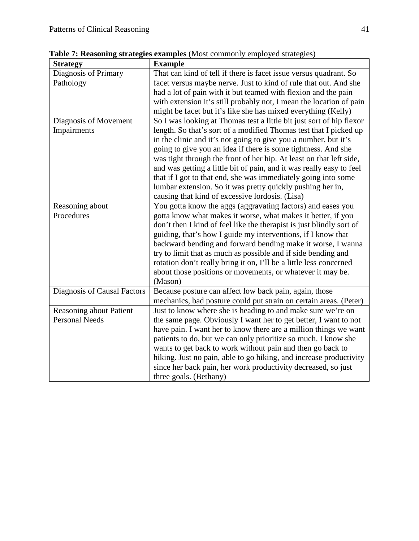| <b>Strategy</b>                | <b>Example</b>                                                       |  |  |
|--------------------------------|----------------------------------------------------------------------|--|--|
| Diagnosis of Primary           | That can kind of tell if there is facet issue versus quadrant. So    |  |  |
| Pathology                      | facet versus maybe nerve. Just to kind of rule that out. And she     |  |  |
|                                | had a lot of pain with it but teamed with flexion and the pain       |  |  |
|                                | with extension it's still probably not, I mean the location of pain  |  |  |
|                                | might be facet but it's like she has mixed everything (Kelly)        |  |  |
| Diagnosis of Movement          | So I was looking at Thomas test a little bit just sort of hip flexor |  |  |
| Impairments                    | length. So that's sort of a modified Thomas test that I picked up    |  |  |
|                                | in the clinic and it's not going to give you a number, but it's      |  |  |
|                                | going to give you an idea if there is some tightness. And she        |  |  |
|                                | was tight through the front of her hip. At least on that left side,  |  |  |
|                                | and was getting a little bit of pain, and it was really easy to feel |  |  |
|                                | that if I got to that end, she was immediately going into some       |  |  |
|                                | lumbar extension. So it was pretty quickly pushing her in,           |  |  |
|                                | causing that kind of excessive lordosis. (Lisa)                      |  |  |
| Reasoning about                | You gotta know the aggs (aggravating factors) and eases you          |  |  |
| Procedures                     | gotta know what makes it worse, what makes it better, if you         |  |  |
|                                | don't then I kind of feel like the therapist is just blindly sort of |  |  |
|                                | guiding, that's how I guide my interventions, if I know that         |  |  |
|                                | backward bending and forward bending make it worse, I wanna          |  |  |
|                                | try to limit that as much as possible and if side bending and        |  |  |
|                                | rotation don't really bring it on, I'll be a little less concerned   |  |  |
|                                | about those positions or movements, or whatever it may be.           |  |  |
|                                | (Mason)                                                              |  |  |
| Diagnosis of Causal Factors    | Because posture can affect low back pain, again, those               |  |  |
|                                | mechanics, bad posture could put strain on certain areas. (Peter)    |  |  |
| <b>Reasoning about Patient</b> | Just to know where she is heading to and make sure we're on          |  |  |
| <b>Personal Needs</b>          | the same page. Obviously I want her to get better, I want to not     |  |  |
|                                | have pain. I want her to know there are a million things we want     |  |  |
|                                | patients to do, but we can only prioritize so much. I know she       |  |  |
|                                | wants to get back to work without pain and then go back to           |  |  |
|                                | hiking. Just no pain, able to go hiking, and increase productivity   |  |  |
|                                | since her back pain, her work productivity decreased, so just        |  |  |
|                                | three goals. (Bethany)                                               |  |  |

**Table 7: Reasoning strategies examples** (Most commonly employed strategies)

٦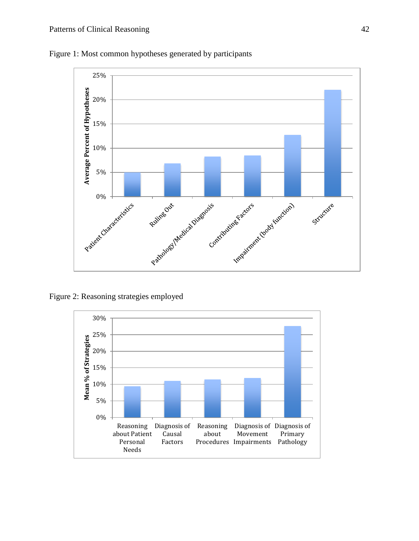

Figure 1: Most common hypotheses generated by participants

Figure 2: Reasoning strategies employed

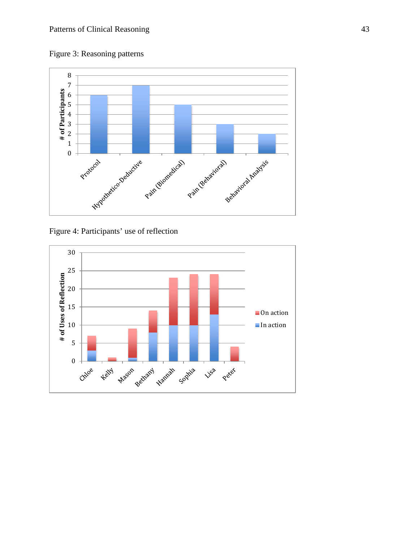## Patterns of Clinical Reasoning 43

Figure 3: Reasoning patterns



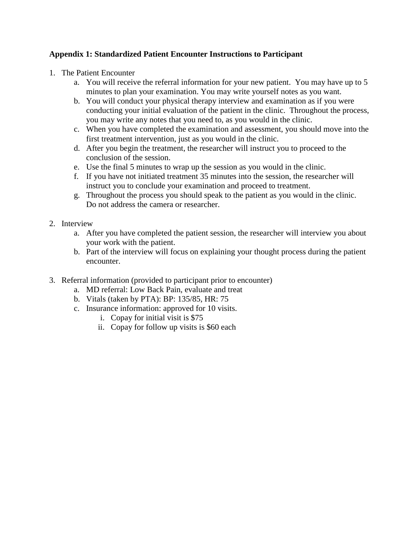## **Appendix 1: Standardized Patient Encounter Instructions to Participant**

- 1. The Patient Encounter
	- a. You will receive the referral information for your new patient. You may have up to 5 minutes to plan your examination. You may write yourself notes as you want.
	- b. You will conduct your physical therapy interview and examination as if you were conducting your initial evaluation of the patient in the clinic. Throughout the process, you may write any notes that you need to, as you would in the clinic.
	- c. When you have completed the examination and assessment, you should move into the first treatment intervention, just as you would in the clinic.
	- d. After you begin the treatment, the researcher will instruct you to proceed to the conclusion of the session.
	- e. Use the final 5 minutes to wrap up the session as you would in the clinic.
	- f. If you have not initiated treatment 35 minutes into the session, the researcher will instruct you to conclude your examination and proceed to treatment.
	- g. Throughout the process you should speak to the patient as you would in the clinic. Do not address the camera or researcher.
- 2. Interview
	- a. After you have completed the patient session, the researcher will interview you about your work with the patient.
	- b. Part of the interview will focus on explaining your thought process during the patient encounter.
- 3. Referral information (provided to participant prior to encounter)
	- a. MD referral: Low Back Pain, evaluate and treat
	- b. Vitals (taken by PTA): BP: 135/85, HR: 75
	- c. Insurance information: approved for 10 visits.
		- i. Copay for initial visit is \$75
		- ii. Copay for follow up visits is \$60 each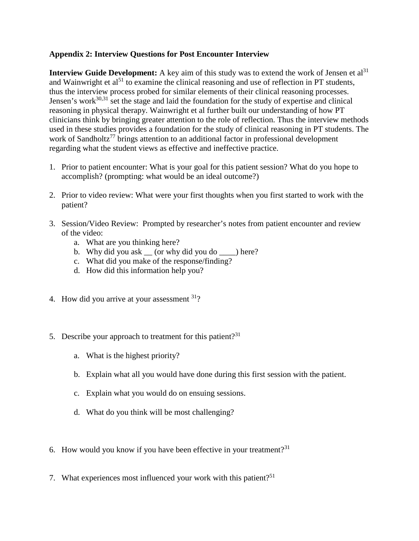## **Appendix 2: Interview Questions for Post Encounter Interview**

**Interview Guide Development:** A key aim of this study was to extend the work of Jensen et al<sup>31</sup> and Wainwright et  $a^{51}$  to examine the clinical reasoning and use of reflection in PT students, thus the interview process probed for similar elements of their clinical reasoning processes. Jensen's work $30,31$  set the stage and laid the foundation for the study of expertise and clinical reasoning in physical therapy. Wainwright et al further built our understanding of how PT clinicians think by bringing greater attention to the role of reflection. Thus the interview methods used in these studies provides a foundation for the study of clinical reasoning in PT students. The work of Sandholtz<sup>77</sup> brings attention to an additional factor in professional development regarding what the student views as effective and ineffective practice.

- 1. Prior to patient encounter: What is your goal for this patient session? What do you hope to accomplish? (prompting: what would be an ideal outcome?)
- 2. Prior to video review: What were your first thoughts when you first started to work with the patient?
- 3. Session/Video Review: Prompted by researcher's notes from patient encounter and review of the video:
	- a. What are you thinking here?
	- b. Why did you ask  $\int$  (or why did you do  $\int$ ) here?
	- c. What did you make of the response/finding?
	- d. How did this information help you?
- 4. How did you arrive at your assessment <sup>31</sup>?
- 5. Describe your approach to treatment for this patient?<sup>31</sup>
	- a. What is the highest priority?
	- b. Explain what all you would have done during this first session with the patient.
	- c. Explain what you would do on ensuing sessions.
	- d. What do you think will be most challenging?
- 6. How would you know if you have been effective in your treatment?<sup>31</sup>
- 7. What experiences most influenced your work with this patient?<sup>51</sup>